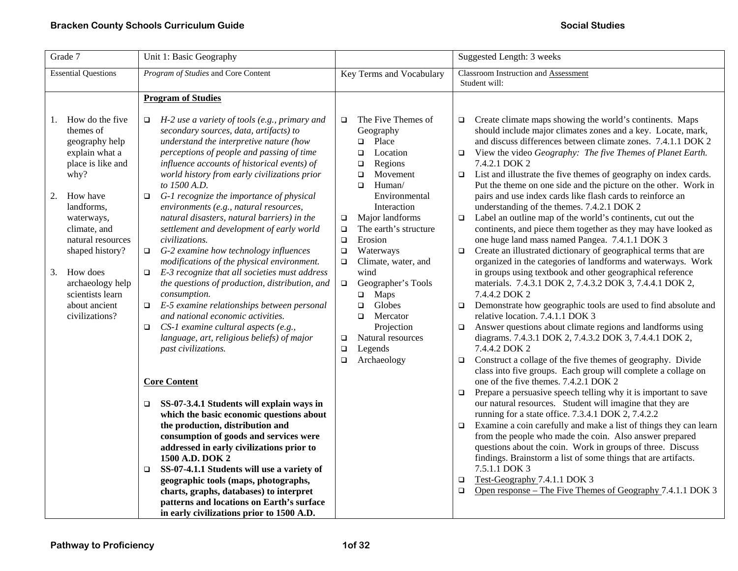| Grade 7                                                                                                                                                                                                                                                                                          | Unit 1: Basic Geography                                                                                                                                                                                                                                                                                                                                                                                                                                                                                                                                                                                                                                                                                                                                                                                                                                                                                                                                                                                                                                                                                                                                                                                                                                                                                                                  |                                                                                                                                                                                                                                                                                                                                                                                                                                                                                                                               | Suggested Length: 3 weeks                                                                                                                                                                                                                                                                                                                                                                                                                                                                                                                                                                                                                                                                                                                                                                                                                                                                                                                                                                                                                                                                                                                                                                                                                                                                                                                                                                                                                                                                                                                                                                                                                                                                                                                                                                                                                                                                                                                                                                                                              |
|--------------------------------------------------------------------------------------------------------------------------------------------------------------------------------------------------------------------------------------------------------------------------------------------------|------------------------------------------------------------------------------------------------------------------------------------------------------------------------------------------------------------------------------------------------------------------------------------------------------------------------------------------------------------------------------------------------------------------------------------------------------------------------------------------------------------------------------------------------------------------------------------------------------------------------------------------------------------------------------------------------------------------------------------------------------------------------------------------------------------------------------------------------------------------------------------------------------------------------------------------------------------------------------------------------------------------------------------------------------------------------------------------------------------------------------------------------------------------------------------------------------------------------------------------------------------------------------------------------------------------------------------------|-------------------------------------------------------------------------------------------------------------------------------------------------------------------------------------------------------------------------------------------------------------------------------------------------------------------------------------------------------------------------------------------------------------------------------------------------------------------------------------------------------------------------------|----------------------------------------------------------------------------------------------------------------------------------------------------------------------------------------------------------------------------------------------------------------------------------------------------------------------------------------------------------------------------------------------------------------------------------------------------------------------------------------------------------------------------------------------------------------------------------------------------------------------------------------------------------------------------------------------------------------------------------------------------------------------------------------------------------------------------------------------------------------------------------------------------------------------------------------------------------------------------------------------------------------------------------------------------------------------------------------------------------------------------------------------------------------------------------------------------------------------------------------------------------------------------------------------------------------------------------------------------------------------------------------------------------------------------------------------------------------------------------------------------------------------------------------------------------------------------------------------------------------------------------------------------------------------------------------------------------------------------------------------------------------------------------------------------------------------------------------------------------------------------------------------------------------------------------------------------------------------------------------------------------------------------------------|
| <b>Essential Questions</b>                                                                                                                                                                                                                                                                       | Program of Studies and Core Content                                                                                                                                                                                                                                                                                                                                                                                                                                                                                                                                                                                                                                                                                                                                                                                                                                                                                                                                                                                                                                                                                                                                                                                                                                                                                                      | Key Terms and Vocabulary                                                                                                                                                                                                                                                                                                                                                                                                                                                                                                      | Classroom Instruction and Assessment<br>Student will:                                                                                                                                                                                                                                                                                                                                                                                                                                                                                                                                                                                                                                                                                                                                                                                                                                                                                                                                                                                                                                                                                                                                                                                                                                                                                                                                                                                                                                                                                                                                                                                                                                                                                                                                                                                                                                                                                                                                                                                  |
|                                                                                                                                                                                                                                                                                                  | <b>Program of Studies</b>                                                                                                                                                                                                                                                                                                                                                                                                                                                                                                                                                                                                                                                                                                                                                                                                                                                                                                                                                                                                                                                                                                                                                                                                                                                                                                                |                                                                                                                                                                                                                                                                                                                                                                                                                                                                                                                               |                                                                                                                                                                                                                                                                                                                                                                                                                                                                                                                                                                                                                                                                                                                                                                                                                                                                                                                                                                                                                                                                                                                                                                                                                                                                                                                                                                                                                                                                                                                                                                                                                                                                                                                                                                                                                                                                                                                                                                                                                                        |
| 1. How do the five<br>themes of<br>geography help<br>explain what a<br>place is like and<br>why?<br>2.<br>How have<br>landforms,<br>waterways,<br>climate, and<br>natural resources<br>shaped history?<br>3. How does<br>archaeology help<br>scientists learn<br>about ancient<br>civilizations? | H-2 use a variety of tools (e.g., primary and<br>$\Box$<br>secondary sources, data, artifacts) to<br>understand the interpretive nature (how<br>perceptions of people and passing of time<br>influence accounts of historical events) of<br>world history from early civilizations prior<br>to 1500 A.D.<br>G-1 recognize the importance of physical<br>$\Box$<br>environments (e.g., natural resources,<br>natural disasters, natural barriers) in the<br>settlement and development of early world<br>civilizations.<br>G-2 examine how technology influences<br>$\Box$<br>modifications of the physical environment.<br>E-3 recognize that all societies must address<br>$\Box$<br>the questions of production, distribution, and<br>consumption.<br>$\Box$ E-5 examine relationships between personal<br>and national economic activities.<br>CS-1 examine cultural aspects (e.g.,<br>$\Box$<br>language, art, religious beliefs) of major<br>past civilizations.<br><b>Core Content</b><br>SS-07-3.4.1 Students will explain ways in<br>❏<br>which the basic economic questions about<br>the production, distribution and<br>consumption of goods and services were<br>addressed in early civilizations prior to<br>1500 A.D. DOK 2<br>SS-07-4.1.1 Students will use a variety of<br>$\Box$<br>geographic tools (maps, photographs, | The Five Themes of<br>$\Box$<br>Geography<br>Place<br>$\Box$<br>$\Box$<br>Location<br>$\Box$<br>Regions<br>Movement<br>$\Box$<br>$\Box$<br>Human/<br>Environmental<br>Interaction<br>Major landforms<br>$\Box$<br>The earth's structure<br>$\Box$<br>Erosion<br>$\Box$<br>Waterways<br>$\Box$<br>Climate, water, and<br>$\Box$<br>wind<br>Geographer's Tools<br>$\Box$<br>Maps<br>$\Box$<br>Globes<br>$\Box$<br>Mercator<br>$\Box$<br>Projection<br>Natural resources<br>$\Box$<br>Legends<br>$\Box$<br>Archaeology<br>$\Box$ | Create climate maps showing the world's continents. Maps<br>$\Box$<br>should include major climates zones and a key. Locate, mark,<br>and discuss differences between climate zones. 7.4.1.1 DOK 2<br>$\Box$<br>View the video Geography: The five Themes of Planet Earth.<br>7.4.2.1 DOK 2<br>List and illustrate the five themes of geography on index cards.<br>$\Box$<br>Put the theme on one side and the picture on the other. Work in<br>pairs and use index cards like flash cards to reinforce an<br>understanding of the themes. 7.4.2.1 DOK 2<br>Label an outline map of the world's continents, cut out the<br>$\Box$<br>continents, and piece them together as they may have looked as<br>one huge land mass named Pangea. 7.4.1.1 DOK 3<br>Create an illustrated dictionary of geographical terms that are<br>$\Box$<br>organized in the categories of landforms and waterways. Work<br>in groups using textbook and other geographical reference<br>materials. 7.4.3.1 DOK 2, 7.4.3.2 DOK 3, 7.4.4.1 DOK 2,<br>7.4.4.2 DOK 2<br>$\Box$<br>Demonstrate how geographic tools are used to find absolute and<br>relative location. 7.4.1.1 DOK 3<br>Answer questions about climate regions and landforms using<br>$\Box$<br>diagrams. 7.4.3.1 DOK 2, 7.4.3.2 DOK 3, 7.4.4.1 DOK 2,<br>7.4.4.2 DOK 2<br>Construct a collage of the five themes of geography. Divide<br>$\Box$<br>class into five groups. Each group will complete a collage on<br>one of the five themes. 7.4.2.1 DOK 2<br>Prepare a persuasive speech telling why it is important to save<br>$\Box$<br>our natural resources. Student will imagine that they are<br>running for a state office. 7.3.4.1 DOK 2, 7.4.2.2<br>Examine a coin carefully and make a list of things they can learn<br>$\Box$<br>from the people who made the coin. Also answer prepared<br>questions about the coin. Work in groups of three. Discuss<br>findings. Brainstorm a list of some things that are artifacts.<br>7.5.1.1 DOK 3<br>Test-Geography 7.4.1.1 DOK 3<br>$\Box$ |
|                                                                                                                                                                                                                                                                                                  | charts, graphs, databases) to interpret<br>patterns and locations on Earth's surface<br>in early civilizations prior to 1500 A.D.                                                                                                                                                                                                                                                                                                                                                                                                                                                                                                                                                                                                                                                                                                                                                                                                                                                                                                                                                                                                                                                                                                                                                                                                        |                                                                                                                                                                                                                                                                                                                                                                                                                                                                                                                               | Open response – The Five Themes of Geography 7.4.1.1 DOK 3<br>$\Box$                                                                                                                                                                                                                                                                                                                                                                                                                                                                                                                                                                                                                                                                                                                                                                                                                                                                                                                                                                                                                                                                                                                                                                                                                                                                                                                                                                                                                                                                                                                                                                                                                                                                                                                                                                                                                                                                                                                                                                   |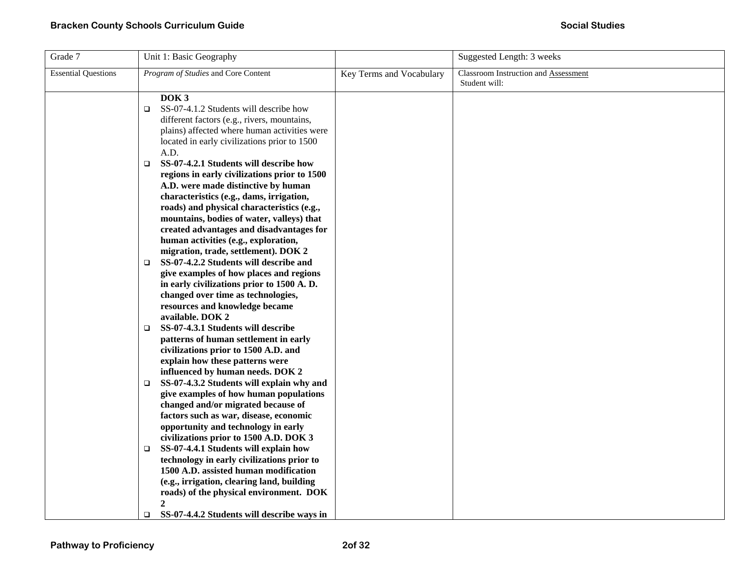| Grade 7                    | Unit 1: Basic Geography                                                                                                                                                                                                                                                                                                                                            |                          | Suggested Length: 3 weeks                             |
|----------------------------|--------------------------------------------------------------------------------------------------------------------------------------------------------------------------------------------------------------------------------------------------------------------------------------------------------------------------------------------------------------------|--------------------------|-------------------------------------------------------|
| <b>Essential Questions</b> | Program of Studies and Core Content                                                                                                                                                                                                                                                                                                                                | Key Terms and Vocabulary | Classroom Instruction and Assessment<br>Student will: |
|                            | DOK <sub>3</sub><br>SS-07-4.1.2 Students will describe how<br>$\Box$<br>different factors (e.g., rivers, mountains,<br>plains) affected where human activities were<br>located in early civilizations prior to 1500<br>A.D.                                                                                                                                        |                          |                                                       |
|                            | SS-07-4.2.1 Students will describe how<br>$\Box$<br>regions in early civilizations prior to 1500<br>A.D. were made distinctive by human<br>characteristics (e.g., dams, irrigation,<br>roads) and physical characteristics (e.g.,<br>mountains, bodies of water, valleys) that<br>created advantages and disadvantages for<br>human activities (e.g., exploration, |                          |                                                       |
|                            | migration, trade, settlement). DOK 2<br>SS-07-4.2.2 Students will describe and<br>$\Box$<br>give examples of how places and regions<br>in early civilizations prior to 1500 A.D.<br>changed over time as technologies,<br>resources and knowledge became<br>available. DOK 2                                                                                       |                          |                                                       |
|                            | SS-07-4.3.1 Students will describe<br>$\Box$<br>patterns of human settlement in early<br>civilizations prior to 1500 A.D. and<br>explain how these patterns were                                                                                                                                                                                                   |                          |                                                       |
|                            | influenced by human needs. DOK 2<br>SS-07-4.3.2 Students will explain why and<br>$\Box$<br>give examples of how human populations<br>changed and/or migrated because of<br>factors such as war, disease, economic                                                                                                                                                  |                          |                                                       |
|                            | opportunity and technology in early<br>civilizations prior to 1500 A.D. DOK 3<br>SS-07-4.4.1 Students will explain how<br>$\Box$<br>technology in early civilizations prior to<br>1500 A.D. assisted human modification<br>(e.g., irrigation, clearing land, building<br>roads) of the physical environment. DOK<br>$\mathbf{2}$                                   |                          |                                                       |
|                            | SS-07-4.4.2 Students will describe ways in<br>$\Box$                                                                                                                                                                                                                                                                                                               |                          |                                                       |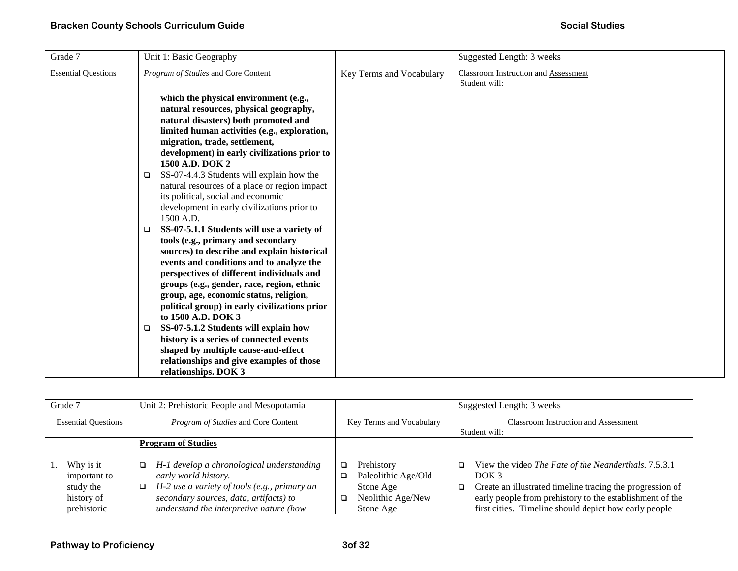| Grade 7                    | Unit 1: Basic Geography                                                                                                                                                                                                                                                                                                                                                                                                                                                                                                                                                                                                                                                                                                                                                                                                                                                                                                                                                                                                                                                              |                          | Suggested Length: 3 weeks                             |
|----------------------------|--------------------------------------------------------------------------------------------------------------------------------------------------------------------------------------------------------------------------------------------------------------------------------------------------------------------------------------------------------------------------------------------------------------------------------------------------------------------------------------------------------------------------------------------------------------------------------------------------------------------------------------------------------------------------------------------------------------------------------------------------------------------------------------------------------------------------------------------------------------------------------------------------------------------------------------------------------------------------------------------------------------------------------------------------------------------------------------|--------------------------|-------------------------------------------------------|
| <b>Essential Questions</b> | Program of Studies and Core Content                                                                                                                                                                                                                                                                                                                                                                                                                                                                                                                                                                                                                                                                                                                                                                                                                                                                                                                                                                                                                                                  | Key Terms and Vocabulary | Classroom Instruction and Assessment<br>Student will: |
|                            | which the physical environment (e.g.,<br>natural resources, physical geography,<br>natural disasters) both promoted and<br>limited human activities (e.g., exploration,<br>migration, trade, settlement,<br>development) in early civilizations prior to<br>1500 A.D. DOK 2<br>SS-07-4.4.3 Students will explain how the<br>❏<br>natural resources of a place or region impact<br>its political, social and economic<br>development in early civilizations prior to<br>1500 A.D.<br>SS-07-5.1.1 Students will use a variety of<br>□<br>tools (e.g., primary and secondary<br>sources) to describe and explain historical<br>events and conditions and to analyze the<br>perspectives of different individuals and<br>groups (e.g., gender, race, region, ethnic<br>group, age, economic status, religion,<br>political group) in early civilizations prior<br>to 1500 A.D. DOK 3<br>SS-07-5.1.2 Students will explain how<br>❏<br>history is a series of connected events<br>shaped by multiple cause-and-effect<br>relationships and give examples of those<br>relationships. DOK 3 |                          |                                                       |

| Grade 7<br>Unit 2: Prehistoric People and Mesopotamia |                                                   |                          | Suggested Length: 3 weeks                                      |
|-------------------------------------------------------|---------------------------------------------------|--------------------------|----------------------------------------------------------------|
| <b>Essential Questions</b>                            | Program of Studies and Core Content               | Key Terms and Vocabulary | <b>Classroom Instruction and Assessment</b><br>Student will:   |
|                                                       |                                                   |                          |                                                                |
|                                                       | <b>Program of Studies</b>                         |                          |                                                                |
|                                                       |                                                   |                          |                                                                |
| Why is it                                             | H-1 develop a chronological understanding<br>o.   | Prehistory               | View the video The Fate of the Neanderthals. 7.5.3.1<br>$\Box$ |
| important to                                          | early world history.                              | Paleolithic Age/Old      | DOK 3                                                          |
| study the                                             | H-2 use a variety of tools (e.g., primary an<br>❏ | Stone Age                | Create an illustrated timeline tracing the progression of<br>□ |
| history of                                            | secondary sources, data, artifacts) to            | Neolithic Age/New<br>□   | early people from prehistory to the establishment of the       |
| prehistoric                                           | understand the interpretive nature (how           | Stone Age                | first cities. Timeline should depict how early people          |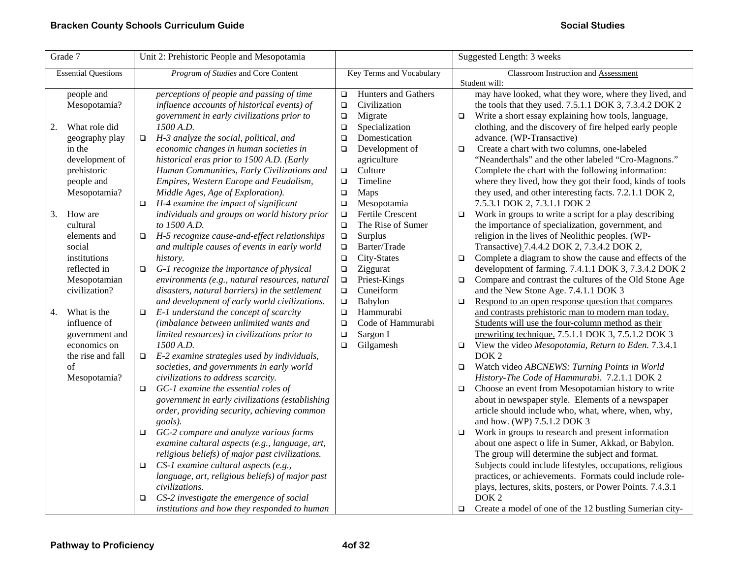| Grade 7                                                             | Unit 2: Prehistoric People and Mesopotamia                                                                                                                                                              | Suggested Length: 3 weeks                                                                       |                                                                                                                                                                                                                                                         |
|---------------------------------------------------------------------|---------------------------------------------------------------------------------------------------------------------------------------------------------------------------------------------------------|-------------------------------------------------------------------------------------------------|---------------------------------------------------------------------------------------------------------------------------------------------------------------------------------------------------------------------------------------------------------|
| <b>Essential Questions</b>                                          | Program of Studies and Core Content                                                                                                                                                                     | Key Terms and Vocabulary                                                                        | Classroom Instruction and Assessment<br>Student will:                                                                                                                                                                                                   |
| people and<br>Mesopotamia?                                          | perceptions of people and passing of time<br>influence accounts of historical events) of<br>government in early civilizations prior to                                                                  | <b>Hunters and Gathers</b><br>$\Box$<br>Civilization<br>$\Box$<br>Migrate<br>$\Box$             | may have looked, what they wore, where they lived, and<br>the tools that they used. 7.5.1.1 DOK 3, 7.3.4.2 DOK 2<br>Write a short essay explaining how tools, language,<br>о                                                                            |
| What role did<br>2.<br>geography play                               | 1500 A.D.<br>H-3 analyze the social, political, and<br>$\Box$                                                                                                                                           | Specialization<br>$\Box$<br>Domestication<br>$\Box$                                             | clothing, and the discovery of fire helped early people<br>advance. (WP-Transactive)                                                                                                                                                                    |
| in the<br>development of<br>prehistoric                             | economic changes in human societies in<br>historical eras prior to 1500 A.D. (Early<br>Human Communities, Early Civilizations and                                                                       | Development of<br>$\Box$<br>agriculture<br>Culture<br>$\Box$                                    | Create a chart with two columns, one-labeled<br>$\Box$<br>"Neanderthals" and the other labeled "Cro-Magnons."<br>Complete the chart with the following information:                                                                                     |
| people and<br>Mesopotamia?                                          | Empires, Western Europe and Feudalism,<br>Middle Ages, Age of Exploration).<br>H-4 examine the impact of significant<br>$\Box$                                                                          | Timeline<br>$\Box$<br>Maps<br>$\Box$<br>$\Box$<br>Mesopotamia                                   | where they lived, how they got their food, kinds of tools<br>they used, and other interesting facts. 7.2.1.1 DOK 2,<br>7.5.3.1 DOK 2, 7.3.1.1 DOK 2                                                                                                     |
| How are<br>3.<br>cultural<br>elements and                           | individuals and groups on world history prior<br>to 1500 A.D.<br>H-5 recognize cause-and-effect relationships<br>o.                                                                                     | Fertile Crescent<br>$\Box$<br>The Rise of Sumer<br>$\Box$<br>Surplus<br>$\Box$                  | Work in groups to write a script for a play describing<br>$\Box$<br>the importance of specialization, government, and<br>religion in the lives of Neolithic peoples. (WP-                                                                               |
| social<br>institutions                                              | and multiple causes of events in early world<br>history.                                                                                                                                                | Barter/Trade<br>$\Box$<br>City-States<br>$\Box$                                                 | Transactive)_7.4.4.2 DOK 2, 7.3.4.2 DOK 2,<br>Complete a diagram to show the cause and effects of the<br>$\Box$                                                                                                                                         |
| reflected in<br>Mesopotamian<br>civilization?                       | $\Box$<br>G-1 recognize the importance of physical<br>environments (e.g., natural resources, natural<br>disasters, natural barriers) in the settlement<br>and development of early world civilizations. | Ziggurat<br>$\Box$<br>Priest-Kings<br>$\Box$<br>Cuneiform<br>$\Box$<br>Babylon<br>$\Box$        | development of farming. 7.4.1.1 DOK 3, 7.3.4.2 DOK 2<br>Compare and contrast the cultures of the Old Stone Age<br>$\Box$<br>and the New Stone Age. 7.4.1.1 DOK 3<br>Respond to an open response question that compares<br>$\Box$                        |
| What is the<br>4.<br>influence of<br>government and<br>economics on | E-1 understand the concept of scarcity<br>$\Box$<br>(imbalance between unlimited wants and<br>limited resources) in civilizations prior to<br>1500 A.D.                                                 | Hammurabi<br>$\Box$<br>Code of Hammurabi<br>$\Box$<br>Sargon I<br>$\Box$<br>Gilgamesh<br>$\Box$ | and contrasts prehistoric man to modern man today.<br>Students will use the four-column method as their<br>prewriting technique. 7.5.1.1 DOK 3, 7.5.1.2 DOK 3<br>View the video Mesopotamia, Return to Eden. 7.3.4.1<br>$\Box$                          |
| the rise and fall<br>οf                                             | E-2 examine strategies used by individuals,<br>$\Box$<br>societies, and governments in early world                                                                                                      |                                                                                                 | DOK <sub>2</sub><br>Watch video ABCNEWS: Turning Points in World<br>$\Box$                                                                                                                                                                              |
| Mesopotamia?                                                        | civilizations to address scarcity.<br>GC-1 examine the essential roles of<br>□<br>government in early civilizations (establishing<br>order, providing security, achieving common<br>goals).             |                                                                                                 | History-The Code of Hammurabi. 7.2.1.1 DOK 2<br>Choose an event from Mesopotamian history to write<br>$\Box$<br>about in newspaper style. Elements of a newspaper<br>article should include who, what, where, when, why,<br>and how. (WP) 7.5.1.2 DOK 3 |
|                                                                     | GC-2 compare and analyze various forms<br>□<br>examine cultural aspects (e.g., language, art,<br>religious beliefs) of major past civilizations.                                                        |                                                                                                 | Work in groups to research and present information<br>$\Box$<br>about one aspect o life in Sumer, Akkad, or Babylon.<br>The group will determine the subject and format.                                                                                |
|                                                                     | CS-1 examine cultural aspects (e.g.,<br>$\Box$<br>language, art, religious beliefs) of major past<br>civilizations.                                                                                     |                                                                                                 | Subjects could include lifestyles, occupations, religious<br>practices, or achievements. Formats could include role-<br>plays, lectures, skits, posters, or Power Points. 7.4.3.1                                                                       |
|                                                                     | CS-2 investigate the emergence of social<br>$\Box$<br>institutions and how they responded to human                                                                                                      |                                                                                                 | DOK <sub>2</sub><br>Create a model of one of the 12 bustling Sumerian city-<br>□                                                                                                                                                                        |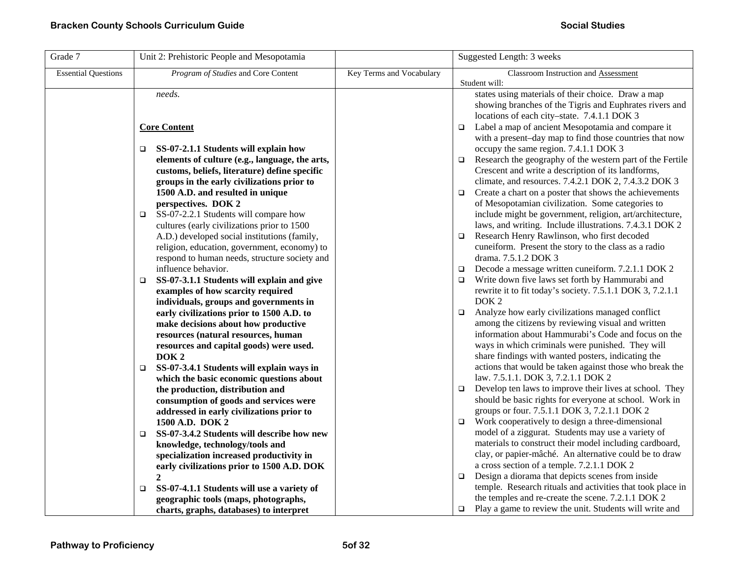| Grade 7                    | Unit 2: Prehistoric People and Mesopotamia                           |                          | Suggested Length: 3 weeks                                                                                         |
|----------------------------|----------------------------------------------------------------------|--------------------------|-------------------------------------------------------------------------------------------------------------------|
| <b>Essential Questions</b> | Program of Studies and Core Content                                  | Key Terms and Vocabulary | Classroom Instruction and Assessment                                                                              |
|                            | needs.                                                               |                          | Student will:<br>states using materials of their choice. Draw a map                                               |
|                            |                                                                      |                          | showing branches of the Tigris and Euphrates rivers and                                                           |
|                            |                                                                      |                          | locations of each city-state. 7.4.1.1 DOK 3                                                                       |
|                            | <b>Core Content</b>                                                  |                          | Label a map of ancient Mesopotamia and compare it<br>$\Box$                                                       |
|                            |                                                                      |                          | with a present-day map to find those countries that now                                                           |
|                            | SS-07-2.1.1 Students will explain how<br>$\Box$                      |                          | occupy the same region. 7.4.1.1 DOK 3                                                                             |
|                            | elements of culture (e.g., language, the arts,                       |                          | Research the geography of the western part of the Fertile<br>$\Box$                                               |
|                            | customs, beliefs, literature) define specific                        |                          | Crescent and write a description of its landforms,                                                                |
|                            | groups in the early civilizations prior to                           |                          | climate, and resources. 7.4.2.1 DOK 2, 7.4.3.2 DOK 3                                                              |
|                            | 1500 A.D. and resulted in unique                                     |                          | Create a chart on a poster that shows the achievements<br>$\Box$                                                  |
|                            | perspectives. DOK 2                                                  |                          | of Mesopotamian civilization. Some categories to                                                                  |
|                            | SS-07-2.2.1 Students will compare how<br>$\Box$                      |                          | include might be government, religion, art/architecture,                                                          |
|                            | cultures (early civilizations prior to 1500                          |                          | laws, and writing. Include illustrations. 7.4.3.1 DOK 2                                                           |
|                            | A.D.) developed social institutions (family,                         |                          | Research Henry Rawlinson, who first decoded<br>$\Box$                                                             |
|                            | religion, education, government, economy) to                         |                          | cuneiform. Present the story to the class as a radio<br>drama. 7.5.1.2 DOK 3                                      |
|                            | respond to human needs, structure society and<br>influence behavior. |                          | Decode a message written cuneiform. 7.2.1.1 DOK 2<br>$\Box$                                                       |
|                            | SS-07-3.1.1 Students will explain and give<br>$\Box$                 |                          | Write down five laws set forth by Hammurabi and<br>$\Box$                                                         |
|                            | examples of how scarcity required                                    |                          | rewrite it to fit today's society. 7.5.1.1 DOK 3, 7.2.1.1                                                         |
|                            | individuals, groups and governments in                               |                          | DOK <sub>2</sub>                                                                                                  |
|                            | early civilizations prior to 1500 A.D. to                            |                          | Analyze how early civilizations managed conflict<br>$\Box$                                                        |
|                            | make decisions about how productive                                  |                          | among the citizens by reviewing visual and written                                                                |
|                            | resources (natural resources, human                                  |                          | information about Hammurabi's Code and focus on the                                                               |
|                            | resources and capital goods) were used.                              |                          | ways in which criminals were punished. They will                                                                  |
|                            | DOK <sub>2</sub>                                                     |                          | share findings with wanted posters, indicating the                                                                |
|                            | SS-07-3.4.1 Students will explain ways in<br>$\Box$                  |                          | actions that would be taken against those who break the                                                           |
|                            | which the basic economic questions about                             |                          | law. 7.5.1.1. DOK 3, 7.2.1.1 DOK 2                                                                                |
|                            | the production, distribution and                                     |                          | Develop ten laws to improve their lives at school. They<br>$\Box$                                                 |
|                            | consumption of goods and services were                               |                          | should be basic rights for everyone at school. Work in                                                            |
|                            | addressed in early civilizations prior to                            |                          | groups or four. 7.5.1.1 DOK 3, 7.2.1.1 DOK 2                                                                      |
|                            | 1500 A.D. DOK 2                                                      |                          | Work cooperatively to design a three-dimensional<br>$\Box$                                                        |
|                            | SS-07-3.4.2 Students will describe how new<br>$\Box$                 |                          | model of a ziggurat. Students may use a variety of                                                                |
|                            | knowledge, technology/tools and                                      |                          | materials to construct their model including cardboard,<br>clay, or papier-mâché. An alternative could be to draw |
|                            | specialization increased productivity in                             |                          | a cross section of a temple. 7.2.1.1 DOK 2                                                                        |
|                            | early civilizations prior to 1500 A.D. DOK<br>$\mathbf{2}$           |                          | Design a diorama that depicts scenes from inside<br>$\Box$                                                        |
|                            | SS-07-4.1.1 Students will use a variety of<br>$\Box$                 |                          | temple. Research rituals and activities that took place in                                                        |
|                            | geographic tools (maps, photographs,                                 |                          | the temples and re-create the scene. 7.2.1.1 DOK 2                                                                |
|                            | charts, graphs, databases) to interpret                              |                          | Play a game to review the unit. Students will write and<br>$\Box$                                                 |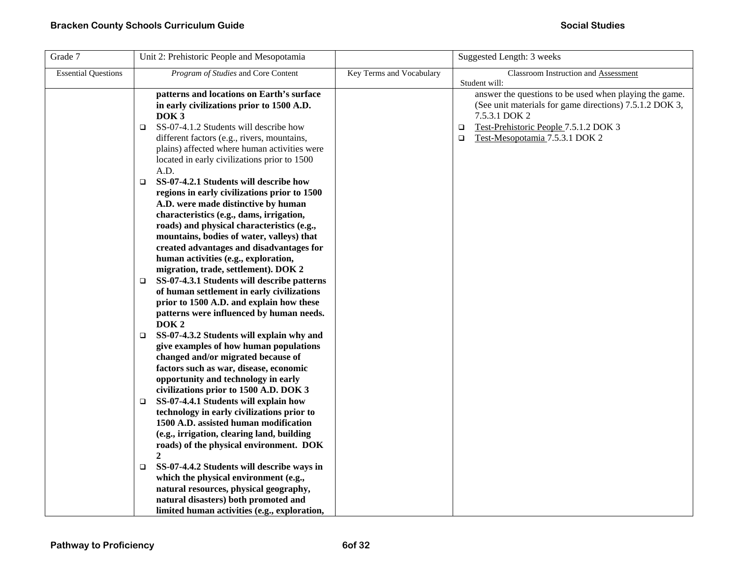| Grade 7                    | Unit 2: Prehistoric People and Mesopotamia                                                                                                                                                                                                                                                                                                                                                                                                                                                                                                                                                                                                                                                                                                                                                                                                                                                                                                                                                                |                          | Suggested Length: 3 weeks                                                                                                                                                                                                                          |
|----------------------------|-----------------------------------------------------------------------------------------------------------------------------------------------------------------------------------------------------------------------------------------------------------------------------------------------------------------------------------------------------------------------------------------------------------------------------------------------------------------------------------------------------------------------------------------------------------------------------------------------------------------------------------------------------------------------------------------------------------------------------------------------------------------------------------------------------------------------------------------------------------------------------------------------------------------------------------------------------------------------------------------------------------|--------------------------|----------------------------------------------------------------------------------------------------------------------------------------------------------------------------------------------------------------------------------------------------|
| <b>Essential Questions</b> | Program of Studies and Core Content                                                                                                                                                                                                                                                                                                                                                                                                                                                                                                                                                                                                                                                                                                                                                                                                                                                                                                                                                                       | Key Terms and Vocabulary | Classroom Instruction and Assessment                                                                                                                                                                                                               |
|                            | patterns and locations on Earth's surface<br>in early civilizations prior to 1500 A.D.<br>DOK <sub>3</sub><br>SS-07-4.1.2 Students will describe how<br>$\Box$<br>different factors (e.g., rivers, mountains,<br>plains) affected where human activities were<br>located in early civilizations prior to 1500<br>A.D.<br>SS-07-4.2.1 Students will describe how<br>$\Box$<br>regions in early civilizations prior to 1500<br>A.D. were made distinctive by human<br>characteristics (e.g., dams, irrigation,<br>roads) and physical characteristics (e.g.,<br>mountains, bodies of water, valleys) that<br>created advantages and disadvantages for<br>human activities (e.g., exploration,<br>migration, trade, settlement). DOK 2<br>SS-07-4.3.1 Students will describe patterns<br>$\Box$<br>of human settlement in early civilizations<br>prior to 1500 A.D. and explain how these<br>patterns were influenced by human needs.<br>DOK <sub>2</sub><br>SS-07-4.3.2 Students will explain why and<br>O. |                          | Student will:<br>answer the questions to be used when playing the game.<br>(See unit materials for game directions) 7.5.1.2 DOK 3,<br>7.5.3.1 DOK 2<br>Test-Prehistoric People 7.5.1.2 DOK 3<br>$\Box$<br>Test-Mesopotamia 7.5.3.1 DOK 2<br>$\Box$ |
|                            | give examples of how human populations<br>changed and/or migrated because of<br>factors such as war, disease, economic<br>opportunity and technology in early<br>civilizations prior to 1500 A.D. DOK 3<br>SS-07-4.4.1 Students will explain how<br>O.<br>technology in early civilizations prior to<br>1500 A.D. assisted human modification<br>(e.g., irrigation, clearing land, building<br>roads) of the physical environment. DOK<br>2<br>SS-07-4.4.2 Students will describe ways in<br>$\Box$<br>which the physical environment (e.g.,<br>natural resources, physical geography,<br>natural disasters) both promoted and<br>limited human activities (e.g., exploration,                                                                                                                                                                                                                                                                                                                            |                          |                                                                                                                                                                                                                                                    |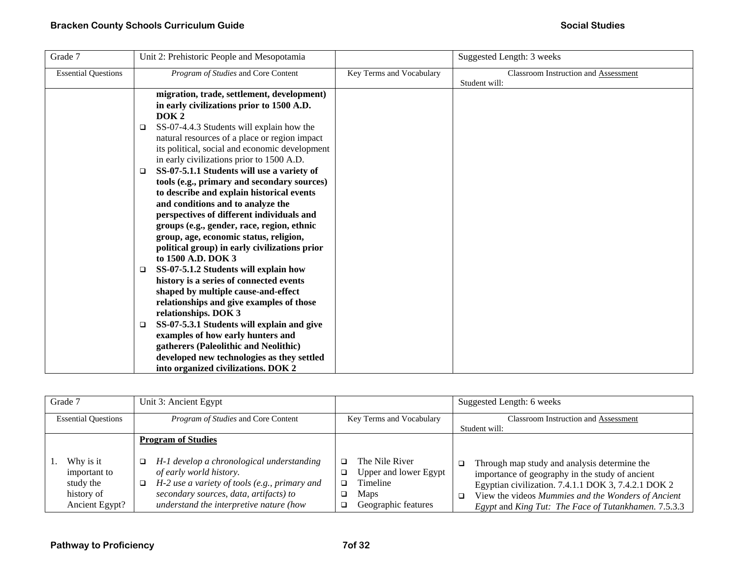| Grade 7                    | Unit 2: Prehistoric People and Mesopotamia                                                                                                                                                                                                                                                                                                                                                                                                                                                                                                                                                                                                                                   |                          | Suggested Length: 3 weeks                             |
|----------------------------|------------------------------------------------------------------------------------------------------------------------------------------------------------------------------------------------------------------------------------------------------------------------------------------------------------------------------------------------------------------------------------------------------------------------------------------------------------------------------------------------------------------------------------------------------------------------------------------------------------------------------------------------------------------------------|--------------------------|-------------------------------------------------------|
| <b>Essential Questions</b> | Program of Studies and Core Content                                                                                                                                                                                                                                                                                                                                                                                                                                                                                                                                                                                                                                          | Key Terms and Vocabulary | Classroom Instruction and Assessment<br>Student will: |
|                            | migration, trade, settlement, development)<br>in early civilizations prior to 1500 A.D.<br>DOK <sub>2</sub><br>SS-07-4.4.3 Students will explain how the<br>$\Box$<br>natural resources of a place or region impact<br>its political, social and economic development<br>in early civilizations prior to 1500 A.D.<br>SS-07-5.1.1 Students will use a variety of<br>□<br>tools (e.g., primary and secondary sources)<br>to describe and explain historical events                                                                                                                                                                                                            |                          |                                                       |
|                            | and conditions and to analyze the<br>perspectives of different individuals and<br>groups (e.g., gender, race, region, ethnic<br>group, age, economic status, religion,<br>political group) in early civilizations prior<br>to 1500 A.D. DOK 3<br>SS-07-5.1.2 Students will explain how<br>□<br>history is a series of connected events<br>shaped by multiple cause-and-effect<br>relationships and give examples of those<br>relationships. DOK 3<br>SS-07-5.3.1 Students will explain and give<br>$\Box$<br>examples of how early hunters and<br>gatherers (Paleolithic and Neolithic)<br>developed new technologies as they settled<br>into organized civilizations. DOK 2 |                          |                                                       |

| Unit 3: Ancient Egypt<br>Grade 7                                       |                                                                                                                                                                                                                                                    | Suggested Length: 6 weeks                                                                 |                                                                                                                                                                                                                                                                                          |
|------------------------------------------------------------------------|----------------------------------------------------------------------------------------------------------------------------------------------------------------------------------------------------------------------------------------------------|-------------------------------------------------------------------------------------------|------------------------------------------------------------------------------------------------------------------------------------------------------------------------------------------------------------------------------------------------------------------------------------------|
| <b>Essential Questions</b>                                             | <i>Program of Studies</i> and Core Content<br>Key Terms and Vocabulary                                                                                                                                                                             |                                                                                           | <b>Classroom Instruction and Assessment</b><br>Student will:                                                                                                                                                                                                                             |
| Why is it<br>important to<br>study the<br>history of<br>Ancient Egypt? | <b>Program of Studies</b><br>H-1 develop a chronological understanding<br>o.<br>of early world history.<br>H-2 use a variety of tools (e.g., primary and<br>❏<br>secondary sources, data, artifacts) to<br>understand the interpretive nature (how | The Nile River<br>Upper and lower Egypt<br>Timeline<br><b>Maps</b><br>Geographic features | Through map study and analysis determine the<br>$\Box$<br>importance of geography in the study of ancient<br>Egyptian civilization. 7.4.1.1 DOK 3, 7.4.2.1 DOK 2<br>View the videos Mummies and the Wonders of Ancient<br>$\Box$<br>Egypt and King Tut: The Face of Tutankhamen. 7.5.3.3 |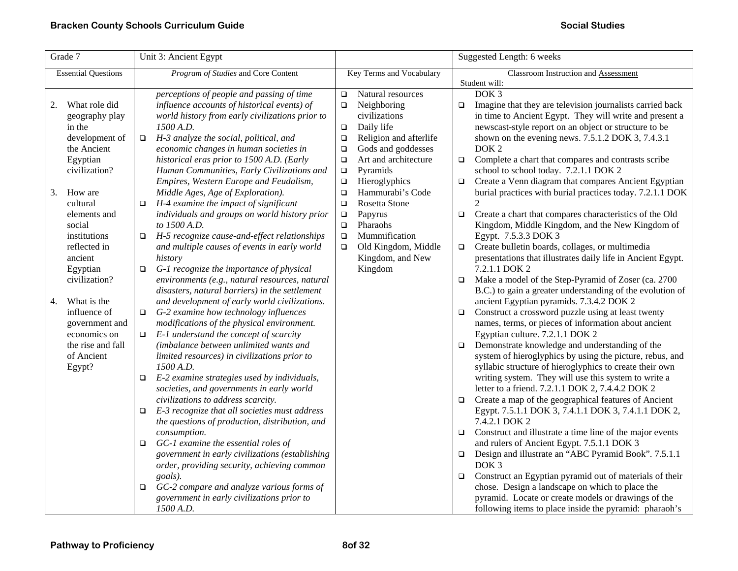|    | Grade 7                                                                                                                                                 |                                       | Unit 3: Ancient Egypt                                                                                                                                                                                                                                                                                                                                                                                                                                                                                                                                                                                                                                                                                                                                                                                                                                                                                                                                                                                                                                                                                                                                            | Suggested Length: 6 weeks |                                                                                            |                                                |                                                                                                                                                                                                                                                                                                                                                                                                                                                                                                                                                                                                                                                                                                                                                                                                                                                                                                                                                                                                                                                                                                                                                                                                                                                                                                                                                                                                                                  |
|----|---------------------------------------------------------------------------------------------------------------------------------------------------------|---------------------------------------|------------------------------------------------------------------------------------------------------------------------------------------------------------------------------------------------------------------------------------------------------------------------------------------------------------------------------------------------------------------------------------------------------------------------------------------------------------------------------------------------------------------------------------------------------------------------------------------------------------------------------------------------------------------------------------------------------------------------------------------------------------------------------------------------------------------------------------------------------------------------------------------------------------------------------------------------------------------------------------------------------------------------------------------------------------------------------------------------------------------------------------------------------------------|---------------------------|--------------------------------------------------------------------------------------------|------------------------------------------------|----------------------------------------------------------------------------------------------------------------------------------------------------------------------------------------------------------------------------------------------------------------------------------------------------------------------------------------------------------------------------------------------------------------------------------------------------------------------------------------------------------------------------------------------------------------------------------------------------------------------------------------------------------------------------------------------------------------------------------------------------------------------------------------------------------------------------------------------------------------------------------------------------------------------------------------------------------------------------------------------------------------------------------------------------------------------------------------------------------------------------------------------------------------------------------------------------------------------------------------------------------------------------------------------------------------------------------------------------------------------------------------------------------------------------------|
|    | <b>Essential Questions</b>                                                                                                                              |                                       | Program of Studies and Core Content                                                                                                                                                                                                                                                                                                                                                                                                                                                                                                                                                                                                                                                                                                                                                                                                                                                                                                                                                                                                                                                                                                                              |                           | Key Terms and Vocabulary                                                                   |                                                | Classroom Instruction and Assessment                                                                                                                                                                                                                                                                                                                                                                                                                                                                                                                                                                                                                                                                                                                                                                                                                                                                                                                                                                                                                                                                                                                                                                                                                                                                                                                                                                                             |
|    |                                                                                                                                                         |                                       | perceptions of people and passing of time                                                                                                                                                                                                                                                                                                                                                                                                                                                                                                                                                                                                                                                                                                                                                                                                                                                                                                                                                                                                                                                                                                                        | $\Box$                    | Natural resources                                                                          |                                                | Student will:<br>DOK <sub>3</sub>                                                                                                                                                                                                                                                                                                                                                                                                                                                                                                                                                                                                                                                                                                                                                                                                                                                                                                                                                                                                                                                                                                                                                                                                                                                                                                                                                                                                |
| 2. | What role did                                                                                                                                           |                                       | influence accounts of historical events) of                                                                                                                                                                                                                                                                                                                                                                                                                                                                                                                                                                                                                                                                                                                                                                                                                                                                                                                                                                                                                                                                                                                      | $\Box$                    | Neighboring                                                                                | $\Box$                                         | Imagine that they are television journalists carried back                                                                                                                                                                                                                                                                                                                                                                                                                                                                                                                                                                                                                                                                                                                                                                                                                                                                                                                                                                                                                                                                                                                                                                                                                                                                                                                                                                        |
|    | geography play                                                                                                                                          |                                       | world history from early civilizations prior to                                                                                                                                                                                                                                                                                                                                                                                                                                                                                                                                                                                                                                                                                                                                                                                                                                                                                                                                                                                                                                                                                                                  |                           | civilizations                                                                              |                                                | in time to Ancient Egypt. They will write and present a                                                                                                                                                                                                                                                                                                                                                                                                                                                                                                                                                                                                                                                                                                                                                                                                                                                                                                                                                                                                                                                                                                                                                                                                                                                                                                                                                                          |
|    | in the                                                                                                                                                  |                                       | 1500 A.D.                                                                                                                                                                                                                                                                                                                                                                                                                                                                                                                                                                                                                                                                                                                                                                                                                                                                                                                                                                                                                                                                                                                                                        | $\Box$                    | Daily life                                                                                 |                                                | newscast-style report on an object or structure to be                                                                                                                                                                                                                                                                                                                                                                                                                                                                                                                                                                                                                                                                                                                                                                                                                                                                                                                                                                                                                                                                                                                                                                                                                                                                                                                                                                            |
|    | development of                                                                                                                                          | $\Box$                                | H-3 analyze the social, political, and                                                                                                                                                                                                                                                                                                                                                                                                                                                                                                                                                                                                                                                                                                                                                                                                                                                                                                                                                                                                                                                                                                                           | $\Box$                    | Religion and afterlife                                                                     |                                                | shown on the evening news. $7.5.1.2$ DOK 3, $7.4.3.1$                                                                                                                                                                                                                                                                                                                                                                                                                                                                                                                                                                                                                                                                                                                                                                                                                                                                                                                                                                                                                                                                                                                                                                                                                                                                                                                                                                            |
|    | the Ancient                                                                                                                                             |                                       | economic changes in human societies in                                                                                                                                                                                                                                                                                                                                                                                                                                                                                                                                                                                                                                                                                                                                                                                                                                                                                                                                                                                                                                                                                                                           | $\Box$                    | Gods and goddesses                                                                         |                                                | DOK <sub>2</sub>                                                                                                                                                                                                                                                                                                                                                                                                                                                                                                                                                                                                                                                                                                                                                                                                                                                                                                                                                                                                                                                                                                                                                                                                                                                                                                                                                                                                                 |
|    | Egyptian                                                                                                                                                |                                       | historical eras prior to 1500 A.D. (Early                                                                                                                                                                                                                                                                                                                                                                                                                                                                                                                                                                                                                                                                                                                                                                                                                                                                                                                                                                                                                                                                                                                        | $\Box$                    | Art and architecture                                                                       | $\Box$                                         | Complete a chart that compares and contrasts scribe                                                                                                                                                                                                                                                                                                                                                                                                                                                                                                                                                                                                                                                                                                                                                                                                                                                                                                                                                                                                                                                                                                                                                                                                                                                                                                                                                                              |
|    | civilization?                                                                                                                                           |                                       | Human Communities, Early Civilizations and                                                                                                                                                                                                                                                                                                                                                                                                                                                                                                                                                                                                                                                                                                                                                                                                                                                                                                                                                                                                                                                                                                                       | $\Box$                    | Pyramids                                                                                   |                                                | school to school today. 7.2.1.1 DOK 2                                                                                                                                                                                                                                                                                                                                                                                                                                                                                                                                                                                                                                                                                                                                                                                                                                                                                                                                                                                                                                                                                                                                                                                                                                                                                                                                                                                            |
|    |                                                                                                                                                         |                                       | Empires, Western Europe and Feudalism,                                                                                                                                                                                                                                                                                                                                                                                                                                                                                                                                                                                                                                                                                                                                                                                                                                                                                                                                                                                                                                                                                                                           | $\Box$                    | Hieroglyphics                                                                              | $\Box$                                         | Create a Venn diagram that compares Ancient Egyptian                                                                                                                                                                                                                                                                                                                                                                                                                                                                                                                                                                                                                                                                                                                                                                                                                                                                                                                                                                                                                                                                                                                                                                                                                                                                                                                                                                             |
| 3. | How are                                                                                                                                                 |                                       | Middle Ages, Age of Exploration).                                                                                                                                                                                                                                                                                                                                                                                                                                                                                                                                                                                                                                                                                                                                                                                                                                                                                                                                                                                                                                                                                                                                | $\Box$                    | Hammurabi's Code                                                                           |                                                | burial practices with burial practices today. 7.2.1.1 DOK                                                                                                                                                                                                                                                                                                                                                                                                                                                                                                                                                                                                                                                                                                                                                                                                                                                                                                                                                                                                                                                                                                                                                                                                                                                                                                                                                                        |
|    | cultural                                                                                                                                                | □                                     |                                                                                                                                                                                                                                                                                                                                                                                                                                                                                                                                                                                                                                                                                                                                                                                                                                                                                                                                                                                                                                                                                                                                                                  | $\Box$                    | <b>Rosetta Stone</b>                                                                       |                                                | $\mathcal{D}_{\mathcal{L}}$                                                                                                                                                                                                                                                                                                                                                                                                                                                                                                                                                                                                                                                                                                                                                                                                                                                                                                                                                                                                                                                                                                                                                                                                                                                                                                                                                                                                      |
|    | elements and                                                                                                                                            |                                       |                                                                                                                                                                                                                                                                                                                                                                                                                                                                                                                                                                                                                                                                                                                                                                                                                                                                                                                                                                                                                                                                                                                                                                  | $\Box$                    |                                                                                            | $\Box$                                         |                                                                                                                                                                                                                                                                                                                                                                                                                                                                                                                                                                                                                                                                                                                                                                                                                                                                                                                                                                                                                                                                                                                                                                                                                                                                                                                                                                                                                                  |
|    | social                                                                                                                                                  |                                       |                                                                                                                                                                                                                                                                                                                                                                                                                                                                                                                                                                                                                                                                                                                                                                                                                                                                                                                                                                                                                                                                                                                                                                  | $\Box$                    |                                                                                            |                                                |                                                                                                                                                                                                                                                                                                                                                                                                                                                                                                                                                                                                                                                                                                                                                                                                                                                                                                                                                                                                                                                                                                                                                                                                                                                                                                                                                                                                                                  |
|    | institutions                                                                                                                                            | $\Box$                                |                                                                                                                                                                                                                                                                                                                                                                                                                                                                                                                                                                                                                                                                                                                                                                                                                                                                                                                                                                                                                                                                                                                                                                  | $\Box$                    |                                                                                            |                                                |                                                                                                                                                                                                                                                                                                                                                                                                                                                                                                                                                                                                                                                                                                                                                                                                                                                                                                                                                                                                                                                                                                                                                                                                                                                                                                                                                                                                                                  |
|    |                                                                                                                                                         |                                       |                                                                                                                                                                                                                                                                                                                                                                                                                                                                                                                                                                                                                                                                                                                                                                                                                                                                                                                                                                                                                                                                                                                                                                  | $\Box$                    |                                                                                            | $\Box$                                         |                                                                                                                                                                                                                                                                                                                                                                                                                                                                                                                                                                                                                                                                                                                                                                                                                                                                                                                                                                                                                                                                                                                                                                                                                                                                                                                                                                                                                                  |
|    | ancient                                                                                                                                                 |                                       | history                                                                                                                                                                                                                                                                                                                                                                                                                                                                                                                                                                                                                                                                                                                                                                                                                                                                                                                                                                                                                                                                                                                                                          |                           |                                                                                            |                                                |                                                                                                                                                                                                                                                                                                                                                                                                                                                                                                                                                                                                                                                                                                                                                                                                                                                                                                                                                                                                                                                                                                                                                                                                                                                                                                                                                                                                                                  |
|    |                                                                                                                                                         | $\Box$                                |                                                                                                                                                                                                                                                                                                                                                                                                                                                                                                                                                                                                                                                                                                                                                                                                                                                                                                                                                                                                                                                                                                                                                                  |                           |                                                                                            |                                                |                                                                                                                                                                                                                                                                                                                                                                                                                                                                                                                                                                                                                                                                                                                                                                                                                                                                                                                                                                                                                                                                                                                                                                                                                                                                                                                                                                                                                                  |
|    |                                                                                                                                                         |                                       |                                                                                                                                                                                                                                                                                                                                                                                                                                                                                                                                                                                                                                                                                                                                                                                                                                                                                                                                                                                                                                                                                                                                                                  |                           |                                                                                            | $\Box$                                         |                                                                                                                                                                                                                                                                                                                                                                                                                                                                                                                                                                                                                                                                                                                                                                                                                                                                                                                                                                                                                                                                                                                                                                                                                                                                                                                                                                                                                                  |
|    |                                                                                                                                                         |                                       |                                                                                                                                                                                                                                                                                                                                                                                                                                                                                                                                                                                                                                                                                                                                                                                                                                                                                                                                                                                                                                                                                                                                                                  |                           |                                                                                            |                                                |                                                                                                                                                                                                                                                                                                                                                                                                                                                                                                                                                                                                                                                                                                                                                                                                                                                                                                                                                                                                                                                                                                                                                                                                                                                                                                                                                                                                                                  |
|    |                                                                                                                                                         |                                       |                                                                                                                                                                                                                                                                                                                                                                                                                                                                                                                                                                                                                                                                                                                                                                                                                                                                                                                                                                                                                                                                                                                                                                  |                           |                                                                                            |                                                |                                                                                                                                                                                                                                                                                                                                                                                                                                                                                                                                                                                                                                                                                                                                                                                                                                                                                                                                                                                                                                                                                                                                                                                                                                                                                                                                                                                                                                  |
|    |                                                                                                                                                         | O.                                    |                                                                                                                                                                                                                                                                                                                                                                                                                                                                                                                                                                                                                                                                                                                                                                                                                                                                                                                                                                                                                                                                                                                                                                  |                           |                                                                                            | $\Box$                                         |                                                                                                                                                                                                                                                                                                                                                                                                                                                                                                                                                                                                                                                                                                                                                                                                                                                                                                                                                                                                                                                                                                                                                                                                                                                                                                                                                                                                                                  |
|    |                                                                                                                                                         |                                       |                                                                                                                                                                                                                                                                                                                                                                                                                                                                                                                                                                                                                                                                                                                                                                                                                                                                                                                                                                                                                                                                                                                                                                  |                           |                                                                                            |                                                |                                                                                                                                                                                                                                                                                                                                                                                                                                                                                                                                                                                                                                                                                                                                                                                                                                                                                                                                                                                                                                                                                                                                                                                                                                                                                                                                                                                                                                  |
|    |                                                                                                                                                         |                                       |                                                                                                                                                                                                                                                                                                                                                                                                                                                                                                                                                                                                                                                                                                                                                                                                                                                                                                                                                                                                                                                                                                                                                                  |                           |                                                                                            |                                                |                                                                                                                                                                                                                                                                                                                                                                                                                                                                                                                                                                                                                                                                                                                                                                                                                                                                                                                                                                                                                                                                                                                                                                                                                                                                                                                                                                                                                                  |
|    |                                                                                                                                                         |                                       |                                                                                                                                                                                                                                                                                                                                                                                                                                                                                                                                                                                                                                                                                                                                                                                                                                                                                                                                                                                                                                                                                                                                                                  |                           |                                                                                            |                                                |                                                                                                                                                                                                                                                                                                                                                                                                                                                                                                                                                                                                                                                                                                                                                                                                                                                                                                                                                                                                                                                                                                                                                                                                                                                                                                                                                                                                                                  |
|    |                                                                                                                                                         |                                       |                                                                                                                                                                                                                                                                                                                                                                                                                                                                                                                                                                                                                                                                                                                                                                                                                                                                                                                                                                                                                                                                                                                                                                  |                           |                                                                                            |                                                |                                                                                                                                                                                                                                                                                                                                                                                                                                                                                                                                                                                                                                                                                                                                                                                                                                                                                                                                                                                                                                                                                                                                                                                                                                                                                                                                                                                                                                  |
|    |                                                                                                                                                         |                                       |                                                                                                                                                                                                                                                                                                                                                                                                                                                                                                                                                                                                                                                                                                                                                                                                                                                                                                                                                                                                                                                                                                                                                                  |                           |                                                                                            |                                                |                                                                                                                                                                                                                                                                                                                                                                                                                                                                                                                                                                                                                                                                                                                                                                                                                                                                                                                                                                                                                                                                                                                                                                                                                                                                                                                                                                                                                                  |
|    |                                                                                                                                                         |                                       |                                                                                                                                                                                                                                                                                                                                                                                                                                                                                                                                                                                                                                                                                                                                                                                                                                                                                                                                                                                                                                                                                                                                                                  |                           |                                                                                            |                                                |                                                                                                                                                                                                                                                                                                                                                                                                                                                                                                                                                                                                                                                                                                                                                                                                                                                                                                                                                                                                                                                                                                                                                                                                                                                                                                                                                                                                                                  |
|    |                                                                                                                                                         |                                       |                                                                                                                                                                                                                                                                                                                                                                                                                                                                                                                                                                                                                                                                                                                                                                                                                                                                                                                                                                                                                                                                                                                                                                  |                           |                                                                                            |                                                |                                                                                                                                                                                                                                                                                                                                                                                                                                                                                                                                                                                                                                                                                                                                                                                                                                                                                                                                                                                                                                                                                                                                                                                                                                                                                                                                                                                                                                  |
|    |                                                                                                                                                         |                                       |                                                                                                                                                                                                                                                                                                                                                                                                                                                                                                                                                                                                                                                                                                                                                                                                                                                                                                                                                                                                                                                                                                                                                                  |                           |                                                                                            |                                                |                                                                                                                                                                                                                                                                                                                                                                                                                                                                                                                                                                                                                                                                                                                                                                                                                                                                                                                                                                                                                                                                                                                                                                                                                                                                                                                                                                                                                                  |
|    |                                                                                                                                                         |                                       |                                                                                                                                                                                                                                                                                                                                                                                                                                                                                                                                                                                                                                                                                                                                                                                                                                                                                                                                                                                                                                                                                                                                                                  |                           |                                                                                            |                                                |                                                                                                                                                                                                                                                                                                                                                                                                                                                                                                                                                                                                                                                                                                                                                                                                                                                                                                                                                                                                                                                                                                                                                                                                                                                                                                                                                                                                                                  |
|    |                                                                                                                                                         |                                       |                                                                                                                                                                                                                                                                                                                                                                                                                                                                                                                                                                                                                                                                                                                                                                                                                                                                                                                                                                                                                                                                                                                                                                  |                           |                                                                                            |                                                |                                                                                                                                                                                                                                                                                                                                                                                                                                                                                                                                                                                                                                                                                                                                                                                                                                                                                                                                                                                                                                                                                                                                                                                                                                                                                                                                                                                                                                  |
|    |                                                                                                                                                         |                                       |                                                                                                                                                                                                                                                                                                                                                                                                                                                                                                                                                                                                                                                                                                                                                                                                                                                                                                                                                                                                                                                                                                                                                                  |                           |                                                                                            |                                                |                                                                                                                                                                                                                                                                                                                                                                                                                                                                                                                                                                                                                                                                                                                                                                                                                                                                                                                                                                                                                                                                                                                                                                                                                                                                                                                                                                                                                                  |
|    |                                                                                                                                                         |                                       |                                                                                                                                                                                                                                                                                                                                                                                                                                                                                                                                                                                                                                                                                                                                                                                                                                                                                                                                                                                                                                                                                                                                                                  |                           |                                                                                            |                                                |                                                                                                                                                                                                                                                                                                                                                                                                                                                                                                                                                                                                                                                                                                                                                                                                                                                                                                                                                                                                                                                                                                                                                                                                                                                                                                                                                                                                                                  |
|    |                                                                                                                                                         |                                       |                                                                                                                                                                                                                                                                                                                                                                                                                                                                                                                                                                                                                                                                                                                                                                                                                                                                                                                                                                                                                                                                                                                                                                  |                           |                                                                                            |                                                |                                                                                                                                                                                                                                                                                                                                                                                                                                                                                                                                                                                                                                                                                                                                                                                                                                                                                                                                                                                                                                                                                                                                                                                                                                                                                                                                                                                                                                  |
|    |                                                                                                                                                         |                                       |                                                                                                                                                                                                                                                                                                                                                                                                                                                                                                                                                                                                                                                                                                                                                                                                                                                                                                                                                                                                                                                                                                                                                                  |                           |                                                                                            |                                                |                                                                                                                                                                                                                                                                                                                                                                                                                                                                                                                                                                                                                                                                                                                                                                                                                                                                                                                                                                                                                                                                                                                                                                                                                                                                                                                                                                                                                                  |
|    |                                                                                                                                                         |                                       |                                                                                                                                                                                                                                                                                                                                                                                                                                                                                                                                                                                                                                                                                                                                                                                                                                                                                                                                                                                                                                                                                                                                                                  |                           |                                                                                            |                                                |                                                                                                                                                                                                                                                                                                                                                                                                                                                                                                                                                                                                                                                                                                                                                                                                                                                                                                                                                                                                                                                                                                                                                                                                                                                                                                                                                                                                                                  |
|    |                                                                                                                                                         |                                       |                                                                                                                                                                                                                                                                                                                                                                                                                                                                                                                                                                                                                                                                                                                                                                                                                                                                                                                                                                                                                                                                                                                                                                  |                           |                                                                                            |                                                |                                                                                                                                                                                                                                                                                                                                                                                                                                                                                                                                                                                                                                                                                                                                                                                                                                                                                                                                                                                                                                                                                                                                                                                                                                                                                                                                                                                                                                  |
|    |                                                                                                                                                         |                                       |                                                                                                                                                                                                                                                                                                                                                                                                                                                                                                                                                                                                                                                                                                                                                                                                                                                                                                                                                                                                                                                                                                                                                                  |                           |                                                                                            |                                                |                                                                                                                                                                                                                                                                                                                                                                                                                                                                                                                                                                                                                                                                                                                                                                                                                                                                                                                                                                                                                                                                                                                                                                                                                                                                                                                                                                                                                                  |
| 4. | reflected in<br>Egyptian<br>civilization?<br>What is the<br>influence of<br>government and<br>economics on<br>the rise and fall<br>of Ancient<br>Egypt? | $\Box$<br>□<br>$\Box$<br>o.<br>$\Box$ | H-4 examine the impact of significant<br>individuals and groups on world history prior<br>to 1500 A.D.<br>H-5 recognize cause-and-effect relationships<br>and multiple causes of events in early world<br>G-1 recognize the importance of physical<br>environments (e.g., natural resources, natural<br>disasters, natural barriers) in the settlement<br>and development of early world civilizations.<br>G-2 examine how technology influences<br>modifications of the physical environment.<br>E-1 understand the concept of scarcity<br>(imbalance between unlimited wants and<br>limited resources) in civilizations prior to<br>1500 A.D.<br>E-2 examine strategies used by individuals,<br>societies, and governments in early world<br>civilizations to address scarcity.<br>E-3 recognize that all societies must address<br>the questions of production, distribution, and<br>consumption.<br>GC-1 examine the essential roles of<br>government in early civilizations (establishing<br>order, providing security, achieving common<br>goals).<br>GC-2 compare and analyze various forms of<br>government in early civilizations prior to<br>1500 A.D. |                           | Papyrus<br>Pharaohs<br>Mummification<br>Old Kingdom, Middle<br>Kingdom, and New<br>Kingdom | $\Box$<br>$\Box$<br>$\Box$<br>$\Box$<br>$\Box$ | Create a chart that compares characteristics of the Old<br>Kingdom, Middle Kingdom, and the New Kingdom of<br>Egypt. 7.5.3.3 DOK 3<br>Create bulletin boards, collages, or multimedia<br>presentations that illustrates daily life in Ancient Egypt.<br>7.2.1.1 DOK 2<br>Make a model of the Step-Pyramid of Zoser (ca. 2700<br>B.C.) to gain a greater understanding of the evolution of<br>ancient Egyptian pyramids. 7.3.4.2 DOK 2<br>Construct a crossword puzzle using at least twenty<br>names, terms, or pieces of information about ancient<br>Egyptian culture. 7.2.1.1 DOK 2<br>Demonstrate knowledge and understanding of the<br>system of hieroglyphics by using the picture, rebus, and<br>syllabic structure of hieroglyphics to create their own<br>writing system. They will use this system to write a<br>letter to a friend. 7.2.1.1 DOK 2, 7.4.4.2 DOK 2<br>Create a map of the geographical features of Ancient<br>Egypt. 7.5.1.1 DOK 3, 7.4.1.1 DOK 3, 7.4.1.1 DOK 2,<br>7.4.2.1 DOK 2<br>Construct and illustrate a time line of the major events<br>and rulers of Ancient Egypt. 7.5.1.1 DOK 3<br>Design and illustrate an "ABC Pyramid Book". 7.5.1.1<br>DOK <sub>3</sub><br>Construct an Egyptian pyramid out of materials of their<br>chose. Design a landscape on which to place the<br>pyramid. Locate or create models or drawings of the<br>following items to place inside the pyramid: pharaoh's |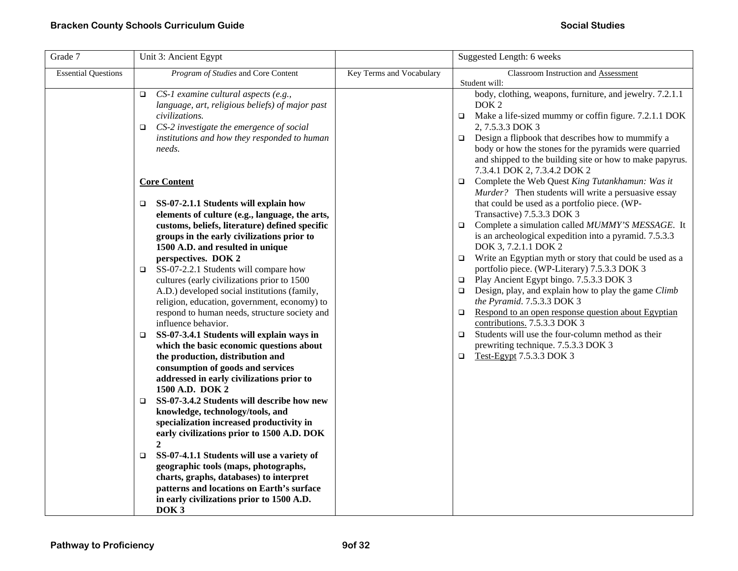| Grade 7                    | Unit 3: Ancient Egypt                                                                                                                                                                                                                                                  |                          | Suggested Length: 6 weeks                                                                                                                                                                                                                                                                                                                                                               |
|----------------------------|------------------------------------------------------------------------------------------------------------------------------------------------------------------------------------------------------------------------------------------------------------------------|--------------------------|-----------------------------------------------------------------------------------------------------------------------------------------------------------------------------------------------------------------------------------------------------------------------------------------------------------------------------------------------------------------------------------------|
| <b>Essential Questions</b> | Program of Studies and Core Content                                                                                                                                                                                                                                    | Key Terms and Vocabulary | Classroom Instruction and Assessment<br>Student will:                                                                                                                                                                                                                                                                                                                                   |
|                            | CS-1 examine cultural aspects (e.g.,<br>$\Box$<br>language, art, religious beliefs) of major past<br>civilizations.<br>$\Box$ CS-2 investigate the emergence of social<br>institutions and how they responded to human<br>needs.                                       |                          | body, clothing, weapons, furniture, and jewelry. 7.2.1.1<br>DOK <sub>2</sub><br>Make a life-sized mummy or coffin figure. 7.2.1.1 DOK<br>$\Box$<br>2, 7.5.3.3 DOK 3<br>Design a flipbook that describes how to mummify a<br>$\Box$<br>body or how the stones for the pyramids were quarried<br>and shipped to the building site or how to make papyrus.<br>7.3.4.1 DOK 2, 7.3.4.2 DOK 2 |
|                            | <b>Core Content</b><br>$\Box$ SS-07-2.1.1 Students will explain how<br>elements of culture (e.g., language, the arts,                                                                                                                                                  |                          | Complete the Web Quest King Tutankhamun: Was it<br>$\Box$<br>Murder? Then students will write a persuasive essay<br>that could be used as a portfolio piece. (WP-<br>Transactive) 7.5.3.3 DOK 3                                                                                                                                                                                         |
|                            | customs, beliefs, literature) defined specific<br>groups in the early civilizations prior to<br>1500 A.D. and resulted in unique<br>perspectives. DOK 2                                                                                                                |                          | Complete a simulation called MUMMY'S MESSAGE. It<br>$\Box$<br>is an archeological expedition into a pyramid. 7.5.3.3<br>DOK 3, 7.2.1.1 DOK 2<br>Write an Egyptian myth or story that could be used as a<br>$\Box$                                                                                                                                                                       |
|                            | SS-07-2.2.1 Students will compare how<br>$\Box$<br>cultures (early civilizations prior to 1500<br>A.D.) developed social institutions (family,<br>religion, education, government, economy) to<br>respond to human needs, structure society and<br>influence behavior. |                          | portfolio piece. (WP-Literary) 7.5.3.3 DOK 3<br>Play Ancient Egypt bingo. 7.5.3.3 DOK 3<br>$\Box$<br>Design, play, and explain how to play the game Climb<br>$\Box$<br>the Pyramid. 7.5.3.3 DOK 3<br>Respond to an open response question about Egyptian<br>$\Box$<br>contributions. 7.5.3.3 DOK 3                                                                                      |
|                            | SS-07-3.4.1 Students will explain ways in<br>$\Box$<br>which the basic economic questions about<br>the production, distribution and<br>consumption of goods and services<br>addressed in early civilizations prior to<br>1500 A.D. DOK 2                               |                          | Students will use the four-column method as their<br>$\Box$<br>prewriting technique. 7.5.3.3 DOK 3<br>Test-Egypt 7.5.3.3 DOK 3<br>$\Box$                                                                                                                                                                                                                                                |
|                            | SS-07-3.4.2 Students will describe how new<br>□<br>knowledge, technology/tools, and<br>specialization increased productivity in<br>early civilizations prior to 1500 A.D. DOK<br>$\mathbf{2}$                                                                          |                          |                                                                                                                                                                                                                                                                                                                                                                                         |
|                            | SS-07-4.1.1 Students will use a variety of<br>$\Box$<br>geographic tools (maps, photographs,<br>charts, graphs, databases) to interpret<br>patterns and locations on Earth's surface<br>in early civilizations prior to 1500 A.D.<br>DOK <sub>3</sub>                  |                          |                                                                                                                                                                                                                                                                                                                                                                                         |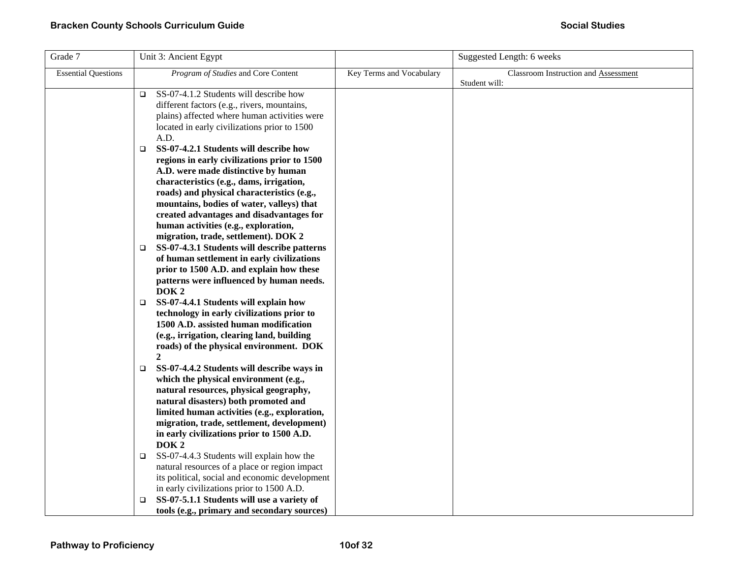| Grade 7                    | Unit 3: Ancient Egypt                                                                                |                          | Suggested Length: 6 weeks            |
|----------------------------|------------------------------------------------------------------------------------------------------|--------------------------|--------------------------------------|
| <b>Essential Questions</b> | Program of Studies and Core Content                                                                  | Key Terms and Vocabulary | Classroom Instruction and Assessment |
|                            | SS-07-4.1.2 Students will describe how<br>$\Box$                                                     |                          | Student will:                        |
|                            | different factors (e.g., rivers, mountains,                                                          |                          |                                      |
|                            | plains) affected where human activities were                                                         |                          |                                      |
|                            | located in early civilizations prior to 1500                                                         |                          |                                      |
|                            | A.D.                                                                                                 |                          |                                      |
|                            | SS-07-4.2.1 Students will describe how<br>$\Box$                                                     |                          |                                      |
|                            | regions in early civilizations prior to 1500                                                         |                          |                                      |
|                            | A.D. were made distinctive by human                                                                  |                          |                                      |
|                            | characteristics (e.g., dams, irrigation,                                                             |                          |                                      |
|                            | roads) and physical characteristics (e.g.,                                                           |                          |                                      |
|                            | mountains, bodies of water, valleys) that                                                            |                          |                                      |
|                            | created advantages and disadvantages for<br>human activities (e.g., exploration,                     |                          |                                      |
|                            | migration, trade, settlement). DOK 2                                                                 |                          |                                      |
|                            | SS-07-4.3.1 Students will describe patterns<br>❏                                                     |                          |                                      |
|                            | of human settlement in early civilizations                                                           |                          |                                      |
|                            | prior to 1500 A.D. and explain how these                                                             |                          |                                      |
|                            | patterns were influenced by human needs.                                                             |                          |                                      |
|                            | DOK <sub>2</sub>                                                                                     |                          |                                      |
|                            | SS-07-4.4.1 Students will explain how<br>□                                                           |                          |                                      |
|                            | technology in early civilizations prior to                                                           |                          |                                      |
|                            | 1500 A.D. assisted human modification                                                                |                          |                                      |
|                            | (e.g., irrigation, clearing land, building                                                           |                          |                                      |
|                            | roads) of the physical environment. DOK<br>$\mathbf{2}$                                              |                          |                                      |
|                            | SS-07-4.4.2 Students will describe ways in<br>□                                                      |                          |                                      |
|                            | which the physical environment (e.g.,                                                                |                          |                                      |
|                            | natural resources, physical geography,                                                               |                          |                                      |
|                            | natural disasters) both promoted and                                                                 |                          |                                      |
|                            | limited human activities (e.g., exploration,                                                         |                          |                                      |
|                            | migration, trade, settlement, development)                                                           |                          |                                      |
|                            | in early civilizations prior to 1500 A.D.                                                            |                          |                                      |
|                            | DOK <sub>2</sub>                                                                                     |                          |                                      |
|                            | SS-07-4.4.3 Students will explain how the<br>$\Box$<br>natural resources of a place or region impact |                          |                                      |
|                            | its political, social and economic development                                                       |                          |                                      |
|                            | in early civilizations prior to 1500 A.D.                                                            |                          |                                      |
|                            | SS-07-5.1.1 Students will use a variety of<br>□                                                      |                          |                                      |
|                            | tools (e.g., primary and secondary sources)                                                          |                          |                                      |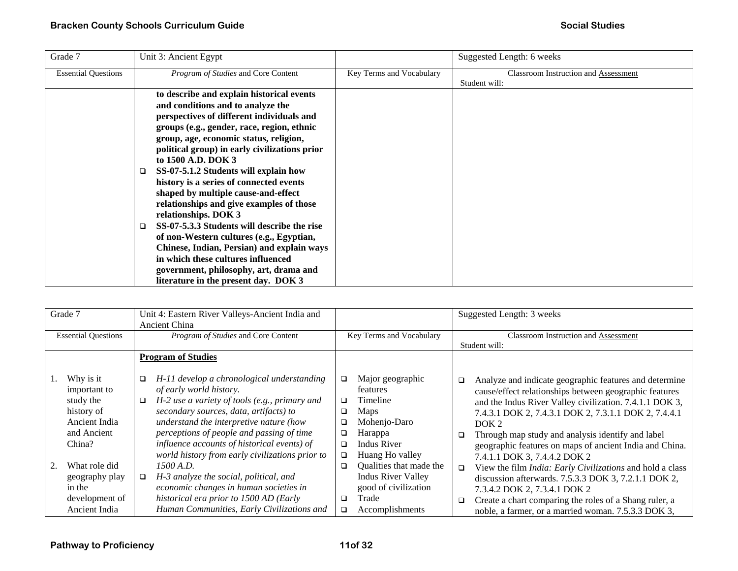| Grade 7                    | Unit 3: Ancient Egypt                            |                          | Suggested Length: 6 weeks                   |
|----------------------------|--------------------------------------------------|--------------------------|---------------------------------------------|
| <b>Essential Questions</b> | <i>Program of Studies</i> and Core Content       | Key Terms and Vocabulary | <b>Classroom Instruction and Assessment</b> |
|                            |                                                  |                          | Student will:                               |
|                            | to describe and explain historical events        |                          |                                             |
|                            | and conditions and to analyze the                |                          |                                             |
|                            | perspectives of different individuals and        |                          |                                             |
|                            | groups (e.g., gender, race, region, ethnic       |                          |                                             |
|                            | group, age, economic status, religion,           |                          |                                             |
|                            | political group) in early civilizations prior    |                          |                                             |
|                            | to 1500 A.D. DOK 3                               |                          |                                             |
|                            | SS-07-5.1.2 Students will explain how            |                          |                                             |
|                            | history is a series of connected events          |                          |                                             |
|                            | shaped by multiple cause-and-effect              |                          |                                             |
|                            | relationships and give examples of those         |                          |                                             |
|                            | relationships. DOK 3                             |                          |                                             |
|                            | SS-07-5.3.3 Students will describe the rise<br>□ |                          |                                             |
|                            | of non-Western cultures (e.g., Egyptian,         |                          |                                             |
|                            | Chinese, Indian, Persian) and explain ways       |                          |                                             |
|                            | in which these cultures influenced               |                          |                                             |
|                            | government, philosophy, art, drama and           |                          |                                             |
|                            | literature in the present day. DOK 3             |                          |                                             |

| Grade 7 |                            |        | Unit 4: Eastern River Valleys-Ancient India and |        |                           |        | Suggested Length: 3 weeks                                        |  |
|---------|----------------------------|--------|-------------------------------------------------|--------|---------------------------|--------|------------------------------------------------------------------|--|
|         |                            |        | Ancient China                                   |        |                           |        |                                                                  |  |
|         | <b>Essential Questions</b> |        | Program of Studies and Core Content             |        | Key Terms and Vocabulary  |        | Classroom Instruction and Assessment                             |  |
|         |                            |        |                                                 |        |                           |        | Student will:                                                    |  |
|         |                            |        | <b>Program of Studies</b>                       |        |                           |        |                                                                  |  |
|         |                            |        |                                                 |        |                           |        |                                                                  |  |
| 1.      | Why is it                  | □      | H-11 develop a chronological understanding      | ❏      | Major geographic          | $\Box$ | Analyze and indicate geographic features and determine           |  |
|         | important to               |        | of early world history.                         |        | features                  |        | cause/effect relationships between geographic features           |  |
|         | study the                  | $\Box$ | H-2 use a variety of tools (e.g., primary and   | □      | <b>Timeline</b>           |        | and the Indus River Valley civilization. 7.4.1.1 DOK 3,          |  |
|         | history of                 |        | secondary sources, data, artifacts) to          | □      | Maps                      |        | 7.4.3.1 DOK 2, 7.4.3.1 DOK 2, 7.3.1.1 DOK 2, 7.4.4.1             |  |
|         | Ancient India              |        | understand the interpretive nature (how         | □      | Mohenjo-Daro              |        | DOK <sub>2</sub>                                                 |  |
|         | and Ancient                |        | perceptions of people and passing of time       | $\Box$ | Harappa                   | □      | Through map study and analysis identify and label                |  |
|         | China?                     |        | influence accounts of historical events) of     | □      | Indus River               |        | geographic features on maps of ancient India and China.          |  |
|         |                            |        | world history from early civilizations prior to | □      | Huang Ho valley           |        | 7.4.1.1 DOK 3, 7.4.4.2 DOK 2                                     |  |
| 2.      | What role did              |        | 1500 A.D.                                       | □      | Qualities that made the   | $\Box$ | View the film <i>India: Early Civilizations</i> and hold a class |  |
|         | geography play             | □      | H-3 analyze the social, political, and          |        | <b>Indus River Valley</b> |        | discussion afterwards. 7.5.3.3 DOK 3, 7.2.1.1 DOK 2,             |  |
|         | in the                     |        | economic changes in human societies in          |        | good of civilization      |        | 7.3.4.2 DOK 2, 7.3.4.1 DOK 2                                     |  |
|         | development of             |        | historical era prior to 1500 AD (Early          | □      | Trade                     | □      | Create a chart comparing the roles of a Shang ruler, a           |  |
|         | Ancient India              |        | Human Communities, Early Civilizations and      | □      | Accomplishments           |        | noble, a farmer, or a married woman. 7.5.3.3 DOK 3,              |  |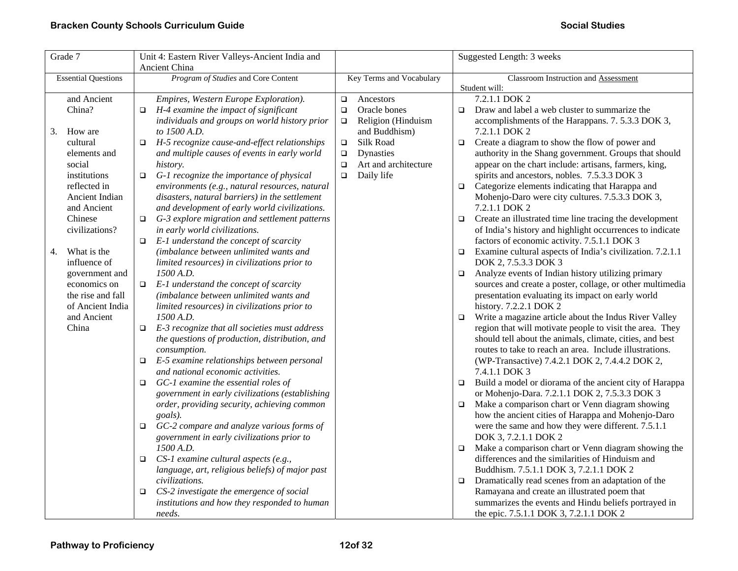| Grade 7 |                            |        | Unit 4: Eastern River Valleys-Ancient India and         |        | Suggested Length: 3 weeks |        |                                                                                                       |  |
|---------|----------------------------|--------|---------------------------------------------------------|--------|---------------------------|--------|-------------------------------------------------------------------------------------------------------|--|
|         |                            |        | Ancient China                                           |        |                           |        |                                                                                                       |  |
|         | <b>Essential Questions</b> |        | Program of Studies and Core Content                     |        | Key Terms and Vocabulary  |        | Classroom Instruction and Assessment                                                                  |  |
|         |                            |        |                                                         |        |                           |        | Student will:                                                                                         |  |
|         | and Ancient                |        | Empires, Western Europe Exploration).                   | $\Box$ | Ancestors                 |        | 7.2.1.1 DOK 2                                                                                         |  |
|         | China?                     | $\Box$ | H-4 examine the impact of significant                   | $\Box$ | Oracle bones              | $\Box$ | Draw and label a web cluster to summarize the                                                         |  |
|         |                            |        | individuals and groups on world history prior           | $\Box$ | Religion (Hinduism        |        | accomplishments of the Harappans. 7. 5.3.3 DOK 3,                                                     |  |
| 3.      | How are                    |        | to 1500 A.D.                                            |        | and Buddhism)             |        | 7.2.1.1 DOK 2                                                                                         |  |
|         | cultural                   | $\Box$ | H-5 recognize cause-and-effect relationships            | $\Box$ | Silk Road                 | $\Box$ | Create a diagram to show the flow of power and                                                        |  |
|         | elements and               |        | and multiple causes of events in early world            | $\Box$ | Dynasties                 |        | authority in the Shang government. Groups that should                                                 |  |
|         | social                     |        | history.                                                | $\Box$ | Art and architecture      |        | appear on the chart include: artisans, farmers, king,                                                 |  |
|         | institutions               | $\Box$ | G-1 recognize the importance of physical                | $\Box$ | Daily life                |        | spirits and ancestors, nobles. 7.5.3.3 DOK 3                                                          |  |
|         | reflected in               |        | environments (e.g., natural resources, natural          |        |                           | $\Box$ | Categorize elements indicating that Harappa and                                                       |  |
|         | Ancient Indian             |        | disasters, natural barriers) in the settlement          |        |                           |        | Mohenjo-Daro were city cultures. 7.5.3.3 DOK 3,                                                       |  |
|         | and Ancient                |        | and development of early world civilizations.           |        |                           |        | 7.2.1.1 DOK 2                                                                                         |  |
|         | Chinese                    | $\Box$ | G-3 explore migration and settlement patterns           |        |                           | $\Box$ | Create an illustrated time line tracing the development                                               |  |
|         | civilizations?             |        | in early world civilizations.                           |        |                           |        | of India's history and highlight occurrences to indicate                                              |  |
|         |                            | $\Box$ | E-1 understand the concept of scarcity                  |        |                           |        | factors of economic activity. 7.5.1.1 DOK 3                                                           |  |
| 4.      | What is the                |        | (imbalance between unlimited wants and                  |        |                           | $\Box$ | Examine cultural aspects of India's civilization. 7.2.1.1                                             |  |
|         | influence of               |        | limited resources) in civilizations prior to            |        |                           |        | DOK 2, 7.5.3.3 DOK 3                                                                                  |  |
|         | government and             |        | 1500 A.D.                                               |        |                           | $\Box$ | Analyze events of Indian history utilizing primary                                                    |  |
|         | economics on               |        | $\Box$ E-1 understand the concept of scarcity           |        |                           |        | sources and create a poster, collage, or other multimedia                                             |  |
|         | the rise and fall          |        | (imbalance between unlimited wants and                  |        |                           |        | presentation evaluating its impact on early world                                                     |  |
|         | of Ancient India           |        | limited resources) in civilizations prior to            |        |                           |        | history. 7.2.2.1 DOK 2                                                                                |  |
|         | and Ancient                |        | 1500 A.D.                                               |        |                           | $\Box$ | Write a magazine article about the Indus River Valley                                                 |  |
|         | China                      |        | $\Box$ E-3 recognize that all societies must address    |        |                           |        | region that will motivate people to visit the area. They                                              |  |
|         |                            |        | the questions of production, distribution, and          |        |                           |        | should tell about the animals, climate, cities, and best                                              |  |
|         |                            |        | consumption.                                            |        |                           |        | routes to take to reach an area. Include illustrations.                                               |  |
|         |                            | $\Box$ | E-5 examine relationships between personal              |        |                           |        | (WP-Transactive) 7.4.2.1 DOK 2, 7.4.4.2 DOK 2,                                                        |  |
|         |                            |        | and national economic activities.                       |        |                           |        | 7.4.1.1 DOK 3                                                                                         |  |
|         |                            | $\Box$ | GC-1 examine the essential roles of                     |        |                           | $\Box$ | Build a model or diorama of the ancient city of Harappa                                               |  |
|         |                            |        | government in early civilizations (establishing         |        |                           |        | or Mohenjo-Dara. 7.2.1.1 DOK 2, 7.5.3.3 DOK 3                                                         |  |
|         |                            |        | order, providing security, achieving common             |        |                           | $\Box$ | Make a comparison chart or Venn diagram showing<br>how the ancient cities of Harappa and Mohenjo-Daro |  |
|         |                            | $\Box$ | goals).<br>GC-2 compare and analyze various forms of    |        |                           |        | were the same and how they were different. 7.5.1.1                                                    |  |
|         |                            |        |                                                         |        |                           |        | DOK 3, 7.2.1.1 DOK 2                                                                                  |  |
|         |                            |        | government in early civilizations prior to<br>1500 A.D. |        |                           |        | Make a comparison chart or Venn diagram showing the                                                   |  |
|         |                            | $\Box$ | CS-1 examine cultural aspects (e.g.,                    |        |                           | $\Box$ | differences and the similarities of Hinduism and                                                      |  |
|         |                            |        | language, art, religious beliefs) of major past         |        |                           |        | Buddhism. 7.5.1.1 DOK 3, 7.2.1.1 DOK 2                                                                |  |
|         |                            |        | civilizations.                                          |        |                           | $\Box$ | Dramatically read scenes from an adaptation of the                                                    |  |
|         |                            | ❏      | CS-2 investigate the emergence of social                |        |                           |        | Ramayana and create an illustrated poem that                                                          |  |
|         |                            |        | institutions and how they responded to human            |        |                           |        | summarizes the events and Hindu beliefs portrayed in                                                  |  |
|         |                            |        | needs.                                                  |        |                           |        | the epic. 7.5.1.1 DOK 3, 7.2.1.1 DOK 2                                                                |  |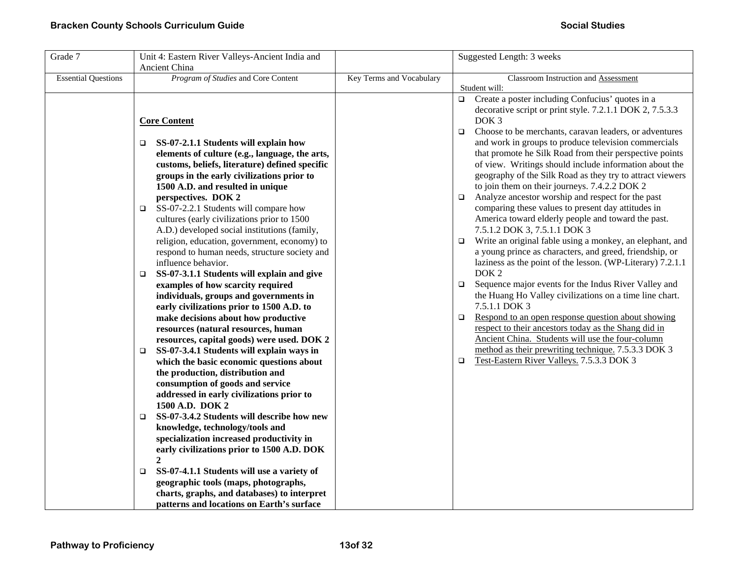| Grade 7                    | Unit 4: Eastern River Valleys-Ancient India and<br>Ancient China                                                                                                                                                                                                                                                                                                                                                                                               |                          | Suggested Length: 3 weeks                                                                                                                                                                                                                                                                                                                                                                                                                                                                                                                                                                                                           |
|----------------------------|----------------------------------------------------------------------------------------------------------------------------------------------------------------------------------------------------------------------------------------------------------------------------------------------------------------------------------------------------------------------------------------------------------------------------------------------------------------|--------------------------|-------------------------------------------------------------------------------------------------------------------------------------------------------------------------------------------------------------------------------------------------------------------------------------------------------------------------------------------------------------------------------------------------------------------------------------------------------------------------------------------------------------------------------------------------------------------------------------------------------------------------------------|
| <b>Essential Questions</b> | Program of Studies and Core Content                                                                                                                                                                                                                                                                                                                                                                                                                            | Key Terms and Vocabulary | Classroom Instruction and Assessment<br>Student will:                                                                                                                                                                                                                                                                                                                                                                                                                                                                                                                                                                               |
|                            | <b>Core Content</b>                                                                                                                                                                                                                                                                                                                                                                                                                                            |                          | Create a poster including Confucius' quotes in a<br>$\Box$<br>decorative script or print style. 7.2.1.1 DOK 2, 7.5.3.3<br>DOK <sub>3</sub><br>Choose to be merchants, caravan leaders, or adventures<br>$\Box$                                                                                                                                                                                                                                                                                                                                                                                                                      |
|                            | SS-07-2.1.1 Students will explain how<br>$\Box$<br>elements of culture (e.g., language, the arts,<br>customs, beliefs, literature) defined specific<br>groups in the early civilizations prior to<br>1500 A.D. and resulted in unique<br>perspectives. DOK 2<br>SS-07-2.2.1 Students will compare how<br>$\Box$<br>cultures (early civilizations prior to 1500<br>A.D.) developed social institutions (family,<br>religion, education, government, economy) to |                          | and work in groups to produce television commercials<br>that promote he Silk Road from their perspective points<br>of view. Writings should include information about the<br>geography of the Silk Road as they try to attract viewers<br>to join them on their journeys. 7.4.2.2 DOK 2<br>Analyze ancestor worship and respect for the past<br>$\Box$<br>comparing these values to present day attitudes in<br>America toward elderly people and toward the past.<br>7.5.1.2 DOK 3, 7.5.1.1 DOK 3<br>Write an original fable using a monkey, an elephant, and<br>$\Box$<br>a young prince as characters, and greed, friendship, or |
|                            | respond to human needs, structure society and<br>influence behavior.<br>SS-07-3.1.1 Students will explain and give<br>$\Box$<br>examples of how scarcity required<br>individuals, groups and governments in<br>early civilizations prior to 1500 A.D. to<br>make decisions about how productive<br>resources (natural resources, human<br>resources, capital goods) were used. DOK 2                                                                           |                          | laziness as the point of the lesson. (WP-Literary) 7.2.1.1<br>DOK <sub>2</sub><br>Sequence major events for the Indus River Valley and<br>$\Box$<br>the Huang Ho Valley civilizations on a time line chart.<br>7.5.1.1 DOK 3<br>Respond to an open response question about showing<br>$\Box$<br>respect to their ancestors today as the Shang did in<br>Ancient China. Students will use the four-column                                                                                                                                                                                                                            |
|                            | SS-07-3.4.1 Students will explain ways in<br>$\Box$<br>which the basic economic questions about<br>the production, distribution and<br>consumption of goods and service<br>addressed in early civilizations prior to<br>1500 A.D. DOK 2<br>SS-07-3.4.2 Students will describe how new<br>$\Box$<br>knowledge, technology/tools and                                                                                                                             |                          | method as their prewriting technique. 7.5.3.3 DOK 3<br>Test-Eastern River Valleys. 7.5.3.3 DOK 3<br>$\Box$                                                                                                                                                                                                                                                                                                                                                                                                                                                                                                                          |
|                            | specialization increased productivity in<br>early civilizations prior to 1500 A.D. DOK<br>$\mathbf{2}$<br>SS-07-4.1.1 Students will use a variety of<br>$\Box$<br>geographic tools (maps, photographs,<br>charts, graphs, and databases) to interpret<br>patterns and locations on Earth's surface                                                                                                                                                             |                          |                                                                                                                                                                                                                                                                                                                                                                                                                                                                                                                                                                                                                                     |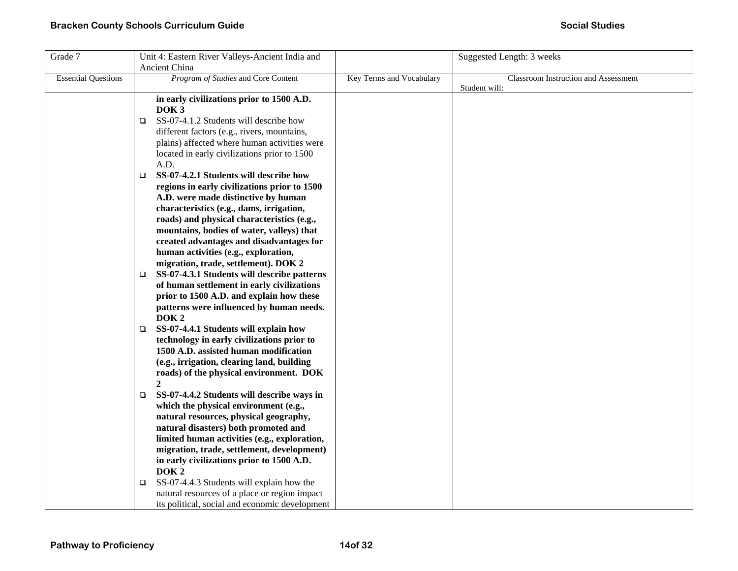| Grade 7                    | Unit 4: Eastern River Valleys-Ancient India and       |                          | Suggested Length: 3 weeks            |
|----------------------------|-------------------------------------------------------|--------------------------|--------------------------------------|
|                            | Ancient China                                         |                          |                                      |
| <b>Essential Questions</b> | Program of Studies and Core Content                   | Key Terms and Vocabulary | Classroom Instruction and Assessment |
|                            |                                                       |                          | Student will:                        |
|                            | in early civilizations prior to 1500 A.D.             |                          |                                      |
|                            | DOK <sub>3</sub>                                      |                          |                                      |
|                            | SS-07-4.1.2 Students will describe how<br>$\Box$      |                          |                                      |
|                            | different factors (e.g., rivers, mountains,           |                          |                                      |
|                            | plains) affected where human activities were          |                          |                                      |
|                            | located in early civilizations prior to 1500          |                          |                                      |
|                            | A.D.                                                  |                          |                                      |
|                            | SS-07-4.2.1 Students will describe how<br>$\Box$      |                          |                                      |
|                            | regions in early civilizations prior to 1500          |                          |                                      |
|                            | A.D. were made distinctive by human                   |                          |                                      |
|                            | characteristics (e.g., dams, irrigation,              |                          |                                      |
|                            | roads) and physical characteristics (e.g.,            |                          |                                      |
|                            | mountains, bodies of water, valleys) that             |                          |                                      |
|                            | created advantages and disadvantages for              |                          |                                      |
|                            | human activities (e.g., exploration,                  |                          |                                      |
|                            | migration, trade, settlement). DOK 2                  |                          |                                      |
|                            | SS-07-4.3.1 Students will describe patterns<br>$\Box$ |                          |                                      |
|                            | of human settlement in early civilizations            |                          |                                      |
|                            | prior to 1500 A.D. and explain how these              |                          |                                      |
|                            | patterns were influenced by human needs.              |                          |                                      |
|                            | DOK <sub>2</sub>                                      |                          |                                      |
|                            | SS-07-4.4.1 Students will explain how<br>$\Box$       |                          |                                      |
|                            | technology in early civilizations prior to            |                          |                                      |
|                            | 1500 A.D. assisted human modification                 |                          |                                      |
|                            | (e.g., irrigation, clearing land, building            |                          |                                      |
|                            | roads) of the physical environment. DOK               |                          |                                      |
|                            | $\boldsymbol{2}$                                      |                          |                                      |
|                            | SS-07-4.4.2 Students will describe ways in<br>$\Box$  |                          |                                      |
|                            | which the physical environment (e.g.,                 |                          |                                      |
|                            | natural resources, physical geography,                |                          |                                      |
|                            | natural disasters) both promoted and                  |                          |                                      |
|                            | limited human activities (e.g., exploration,          |                          |                                      |
|                            | migration, trade, settlement, development)            |                          |                                      |
|                            | in early civilizations prior to 1500 A.D.             |                          |                                      |
|                            | DOK <sub>2</sub>                                      |                          |                                      |
|                            | SS-07-4.4.3 Students will explain how the<br>$\Box$   |                          |                                      |
|                            | natural resources of a place or region impact         |                          |                                      |
|                            | its political, social and economic development        |                          |                                      |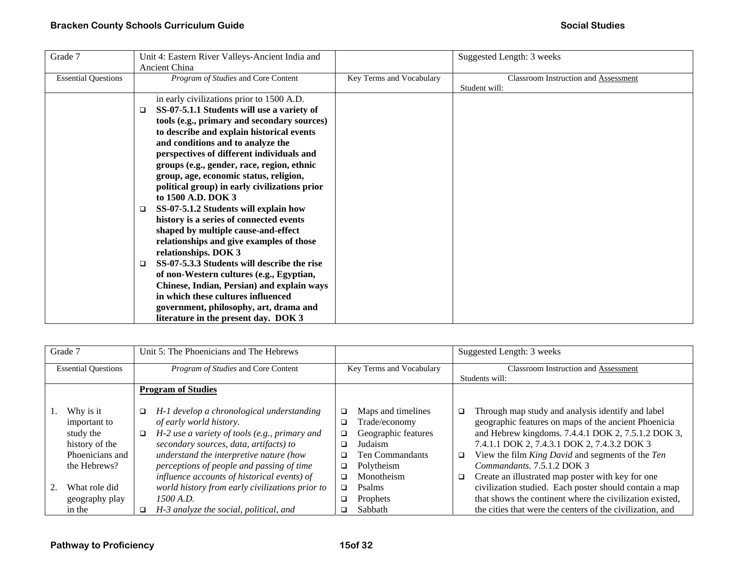| Grade 7                    | Unit 4: Eastern River Valleys-Ancient India and      |                          | Suggested Length: 3 weeks            |
|----------------------------|------------------------------------------------------|--------------------------|--------------------------------------|
|                            | <b>Ancient China</b>                                 |                          |                                      |
| <b>Essential Questions</b> | Program of Studies and Core Content                  | Key Terms and Vocabulary | Classroom Instruction and Assessment |
|                            |                                                      |                          | Student will:                        |
|                            | in early civilizations prior to 1500 A.D.            |                          |                                      |
|                            | SS-07-5.1.1 Students will use a variety of<br>$\Box$ |                          |                                      |
|                            | tools (e.g., primary and secondary sources)          |                          |                                      |
|                            | to describe and explain historical events            |                          |                                      |
|                            | and conditions and to analyze the                    |                          |                                      |
|                            | perspectives of different individuals and            |                          |                                      |
|                            | groups (e.g., gender, race, region, ethnic           |                          |                                      |
|                            | group, age, economic status, religion,               |                          |                                      |
|                            | political group) in early civilizations prior        |                          |                                      |
|                            | to 1500 A.D. DOK 3                                   |                          |                                      |
|                            | SS-07-5.1.2 Students will explain how<br>□           |                          |                                      |
|                            | history is a series of connected events              |                          |                                      |
|                            | shaped by multiple cause-and-effect                  |                          |                                      |
|                            | relationships and give examples of those             |                          |                                      |
|                            | relationships. DOK 3                                 |                          |                                      |
|                            | SS-07-5.3.3 Students will describe the rise<br>□     |                          |                                      |
|                            | of non-Western cultures (e.g., Egyptian,             |                          |                                      |
|                            | Chinese, Indian, Persian) and explain ways           |                          |                                      |
|                            | in which these cultures influenced                   |                          |                                      |
|                            | government, philosophy, art, drama and               |                          |                                      |
|                            |                                                      |                          |                                      |
|                            | literature in the present day. DOK 3                 |                          |                                      |

| Grade 7                    | Unit 5: The Phoenicians and The Hebrews            |                              | Suggested Length: 3 weeks                                  |  |
|----------------------------|----------------------------------------------------|------------------------------|------------------------------------------------------------|--|
| <b>Essential Questions</b> | <i>Program of Studies</i> and Core Content         | Key Terms and Vocabulary     | <b>Classroom Instruction and Assessment</b>                |  |
|                            |                                                    |                              | Students will:                                             |  |
|                            | <b>Program of Studies</b>                          |                              |                                                            |  |
|                            |                                                    |                              |                                                            |  |
| Why is it                  | H-1 develop a chronological understanding<br>□     | Maps and timelines<br>$\Box$ | Through map study and analysis identify and label<br>□     |  |
| important to               | of early world history.                            | Trade/economy<br>□           | geographic features on maps of the ancient Phoenicia       |  |
| study the                  | H-2 use a variety of tools (e.g., primary and<br>□ | Geographic features<br>❏     | and Hebrew kingdoms. 7.4.4.1 DOK 2, 7.5.1.2 DOK 3,         |  |
| history of the             | secondary sources, data, artifacts) to             | Judaism<br>◻                 | 7.4.1.1 DOK 2, 7.4.3.1 DOK 2, 7.4.3.2 DOK 3                |  |
| Phoenicians and            | understand the interpretive nature (how            | Ten Commandants<br>◻         | View the film King David and segments of the Ten<br>$\Box$ |  |
| the Hebrews?               | perceptions of people and passing of time          | Polytheism<br>$\Box$         | Commandants. 7.5.1.2 DOK 3                                 |  |
|                            | influence accounts of historical events) of        | Monotheism<br>□              | Create an illustrated map poster with key for one<br>□     |  |
| What role did              | world history from early civilizations prior to    | <b>Psalms</b><br>▫           | civilization studied. Each poster should contain a map     |  |
| geography play             | $1500$ A.D.                                        | Prophets<br>❏                | that shows the continent where the civilization existed,   |  |
| in the                     | H-3 analyze the social, political, and<br>□        | Sabbath<br>□                 | the cities that were the centers of the civilization, and  |  |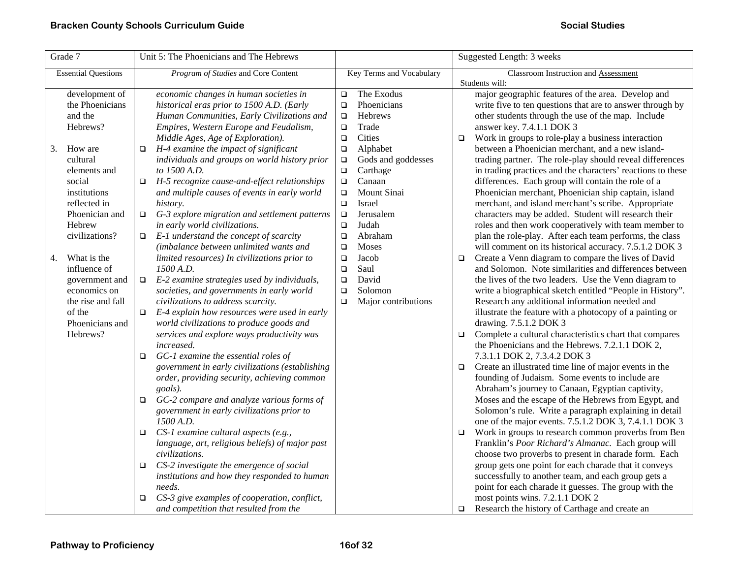| Grade 7                                                                                                                                                                                                                                                                                                                            | Unit 5: The Phoenicians and The Hebrews                                                                                                                                                                                                                                                                                                                                                                                                                                                                                                                                                                                                                                                                                                                                                                                                                                                                                                                                                                                                                                                                                                                                                                                                                                                                                                                                                                                                                                                        |                                                                                                                                                                                                                                                                                                                                                                                                                                                                      | Suggested Length: 3 weeks                                                                                                                                                                                                                                                                                                                                                                                                                                                                                                                                                                                                                                                                                                                                                                                                                                                                                                                                                                                                                                                                                                                                                                                                                                                                                                                                                                                                                                                                                                                                                                                                                                                                                                                                                                                                                                                                                                                                                                                  |  |  |
|------------------------------------------------------------------------------------------------------------------------------------------------------------------------------------------------------------------------------------------------------------------------------------------------------------------------------------|------------------------------------------------------------------------------------------------------------------------------------------------------------------------------------------------------------------------------------------------------------------------------------------------------------------------------------------------------------------------------------------------------------------------------------------------------------------------------------------------------------------------------------------------------------------------------------------------------------------------------------------------------------------------------------------------------------------------------------------------------------------------------------------------------------------------------------------------------------------------------------------------------------------------------------------------------------------------------------------------------------------------------------------------------------------------------------------------------------------------------------------------------------------------------------------------------------------------------------------------------------------------------------------------------------------------------------------------------------------------------------------------------------------------------------------------------------------------------------------------|----------------------------------------------------------------------------------------------------------------------------------------------------------------------------------------------------------------------------------------------------------------------------------------------------------------------------------------------------------------------------------------------------------------------------------------------------------------------|------------------------------------------------------------------------------------------------------------------------------------------------------------------------------------------------------------------------------------------------------------------------------------------------------------------------------------------------------------------------------------------------------------------------------------------------------------------------------------------------------------------------------------------------------------------------------------------------------------------------------------------------------------------------------------------------------------------------------------------------------------------------------------------------------------------------------------------------------------------------------------------------------------------------------------------------------------------------------------------------------------------------------------------------------------------------------------------------------------------------------------------------------------------------------------------------------------------------------------------------------------------------------------------------------------------------------------------------------------------------------------------------------------------------------------------------------------------------------------------------------------------------------------------------------------------------------------------------------------------------------------------------------------------------------------------------------------------------------------------------------------------------------------------------------------------------------------------------------------------------------------------------------------------------------------------------------------------------------------------------------------|--|--|
| <b>Essential Questions</b>                                                                                                                                                                                                                                                                                                         | Program of Studies and Core Content                                                                                                                                                                                                                                                                                                                                                                                                                                                                                                                                                                                                                                                                                                                                                                                                                                                                                                                                                                                                                                                                                                                                                                                                                                                                                                                                                                                                                                                            | Key Terms and Vocabulary                                                                                                                                                                                                                                                                                                                                                                                                                                             | Classroom Instruction and Assessment<br>Students will:                                                                                                                                                                                                                                                                                                                                                                                                                                                                                                                                                                                                                                                                                                                                                                                                                                                                                                                                                                                                                                                                                                                                                                                                                                                                                                                                                                                                                                                                                                                                                                                                                                                                                                                                                                                                                                                                                                                                                     |  |  |
| development of<br>the Phoenicians<br>and the<br>Hebrews?<br>3.<br>How are<br>cultural<br>elements and<br>social<br>institutions<br>reflected in<br>Phoenician and<br>Hebrew<br>civilizations?<br>What is the<br>4.<br>influence of<br>government and<br>economics on<br>the rise and fall<br>of the<br>Phoenicians and<br>Hebrews? | economic changes in human societies in<br>historical eras prior to 1500 A.D. (Early<br>Human Communities, Early Civilizations and<br>Empires, Western Europe and Feudalism,<br>Middle Ages, Age of Exploration).<br>H-4 examine the impact of significant<br>$\Box$<br>individuals and groups on world history prior<br>to 1500 A.D.<br>H-5 recognize cause-and-effect relationships<br>$\Box$<br>and multiple causes of events in early world<br>history.<br>G-3 explore migration and settlement patterns<br>$\Box$<br>in early world civilizations.<br>E-1 understand the concept of scarcity<br>$\Box$<br>(imbalance between unlimited wants and<br>limited resources) In civilizations prior to<br>1500 A.D.<br>E-2 examine strategies used by individuals,<br>$\Box$<br>societies, and governments in early world<br>civilizations to address scarcity.<br>E-4 explain how resources were used in early<br>$\Box$<br>world civilizations to produce goods and<br>services and explore ways productivity was<br><i>increased.</i><br>GC-1 examine the essential roles of<br>$\Box$<br>government in early civilizations (establishing<br>order, providing security, achieving common<br>goals).<br>GC-2 compare and analyze various forms of<br>$\Box$<br>government in early civilizations prior to<br>1500 A.D.<br>CS-1 examine cultural aspects (e.g.,<br>□<br>language, art, religious beliefs) of major past<br>civilizations.<br>CS-2 investigate the emergence of social<br>$\Box$ | The Exodus<br>$\Box$<br>Phoenicians<br>$\Box$<br><b>Hebrews</b><br>$\Box$<br>Trade<br>$\Box$<br>Cities<br>$\Box$<br>Alphabet<br>$\Box$<br>Gods and goddesses<br>$\Box$<br>Carthage<br>$\Box$<br>Canaan<br>$\Box$<br>Mount Sinai<br>$\Box$<br>Israel<br>$\Box$<br>Jerusalem<br>$\Box$<br>Judah<br>$\Box$<br>Abraham<br>$\Box$<br><b>Moses</b><br>$\Box$<br>Jacob<br>$\Box$<br>Saul<br>$\Box$<br>David<br>$\Box$<br>Solomon<br>$\Box$<br>Major contributions<br>$\Box$ | major geographic features of the area. Develop and<br>write five to ten questions that are to answer through by<br>other students through the use of the map. Include<br>answer key. 7.4.1.1 DOK 3<br>Work in groups to role-play a business interaction<br>$\Box$<br>between a Phoenician merchant, and a new island-<br>trading partner. The role-play should reveal differences<br>in trading practices and the characters' reactions to these<br>differences. Each group will contain the role of a<br>Phoenician merchant, Phoenician ship captain, island<br>merchant, and island merchant's scribe. Appropriate<br>characters may be added. Student will research their<br>roles and then work cooperatively with team member to<br>plan the role-play. After each team performs, the class<br>will comment on its historical accuracy. 7.5.1.2 DOK 3<br>Create a Venn diagram to compare the lives of David<br>$\Box$<br>and Solomon. Note similarities and differences between<br>the lives of the two leaders. Use the Venn diagram to<br>write a biographical sketch entitled "People in History".<br>Research any additional information needed and<br>illustrate the feature with a photocopy of a painting or<br>drawing. 7.5.1.2 DOK 3<br>Complete a cultural characteristics chart that compares<br>$\Box$<br>the Phoenicians and the Hebrews. 7.2.1.1 DOK 2,<br>7.3.1.1 DOK 2, 7.3.4.2 DOK 3<br>Create an illustrated time line of major events in the<br>$\Box$<br>founding of Judaism. Some events to include are<br>Abraham's journey to Canaan, Egyptian captivity,<br>Moses and the escape of the Hebrews from Egypt, and<br>Solomon's rule. Write a paragraph explaining in detail<br>one of the major events. 7.5.1.2 DOK 3, 7.4.1.1 DOK 3<br>Work in groups to research common proverbs from Ben<br>$\Box$<br>Franklin's Poor Richard's Almanac. Each group will<br>choose two proverbs to present in charade form. Each<br>group gets one point for each charade that it conveys |  |  |
|                                                                                                                                                                                                                                                                                                                                    | institutions and how they responded to human<br>needs.<br>CS-3 give examples of cooperation, conflict,<br>❏<br>and competition that resulted from the                                                                                                                                                                                                                                                                                                                                                                                                                                                                                                                                                                                                                                                                                                                                                                                                                                                                                                                                                                                                                                                                                                                                                                                                                                                                                                                                          |                                                                                                                                                                                                                                                                                                                                                                                                                                                                      | successfully to another team, and each group gets a<br>point for each charade it guesses. The group with the<br>most points wins. 7.2.1.1 DOK 2<br>Research the history of Carthage and create an<br>$\Box$                                                                                                                                                                                                                                                                                                                                                                                                                                                                                                                                                                                                                                                                                                                                                                                                                                                                                                                                                                                                                                                                                                                                                                                                                                                                                                                                                                                                                                                                                                                                                                                                                                                                                                                                                                                                |  |  |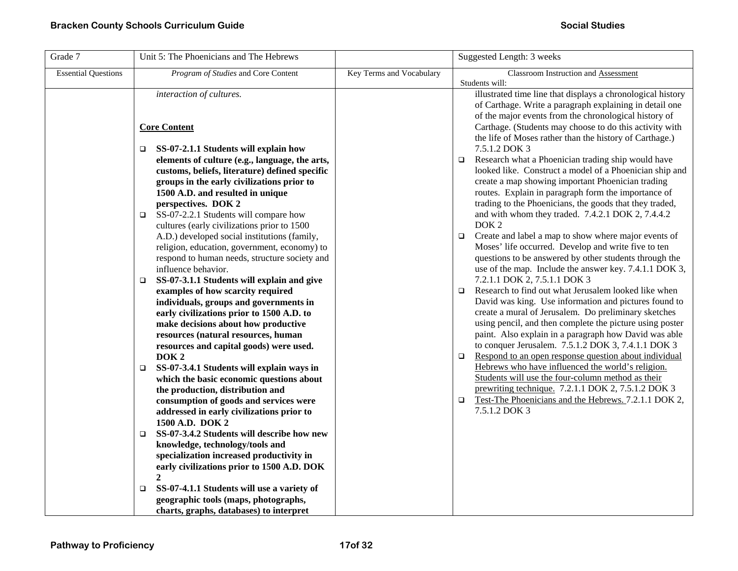| Grade 7                    | Unit 5: The Phoenicians and The Hebrews                                     |                          | Suggested Length: 3 weeks                                                                                               |
|----------------------------|-----------------------------------------------------------------------------|--------------------------|-------------------------------------------------------------------------------------------------------------------------|
| <b>Essential Questions</b> | Program of Studies and Core Content                                         | Key Terms and Vocabulary | Classroom Instruction and Assessment                                                                                    |
|                            | interaction of cultures.                                                    |                          | Students will:<br>illustrated time line that displays a chronological history                                           |
|                            |                                                                             |                          | of Carthage. Write a paragraph explaining in detail one                                                                 |
|                            |                                                                             |                          | of the major events from the chronological history of                                                                   |
|                            | <b>Core Content</b>                                                         |                          | Carthage. (Students may choose to do this activity with                                                                 |
|                            |                                                                             |                          | the life of Moses rather than the history of Carthage.)                                                                 |
|                            | SS-07-2.1.1 Students will explain how<br>▫                                  |                          | 7.5.1.2 DOK 3                                                                                                           |
|                            | elements of culture (e.g., language, the arts,                              |                          | Research what a Phoenician trading ship would have<br>$\Box$                                                            |
|                            | customs, beliefs, literature) defined specific                              |                          | looked like. Construct a model of a Phoenician ship and                                                                 |
|                            | groups in the early civilizations prior to                                  |                          | create a map showing important Phoenician trading<br>routes. Explain in paragraph form the importance of                |
|                            | 1500 A.D. and resulted in unique<br>perspectives. DOK 2                     |                          | trading to the Phoenicians, the goods that they traded,                                                                 |
|                            | SS-07-2.2.1 Students will compare how<br>▫                                  |                          | and with whom they traded. 7.4.2.1 DOK 2, 7.4.4.2                                                                       |
|                            | cultures (early civilizations prior to 1500                                 |                          | DOK <sub>2</sub>                                                                                                        |
|                            | A.D.) developed social institutions (family,                                |                          | Create and label a map to show where major events of<br>$\Box$                                                          |
|                            | religion, education, government, economy) to                                |                          | Moses' life occurred. Develop and write five to ten                                                                     |
|                            | respond to human needs, structure society and                               |                          | questions to be answered by other students through the                                                                  |
|                            | influence behavior.                                                         |                          | use of the map. Include the answer key. 7.4.1.1 DOK 3,                                                                  |
|                            | SS-07-3.1.1 Students will explain and give<br>❏                             |                          | 7.2.1.1 DOK 2, 7.5.1.1 DOK 3                                                                                            |
|                            | examples of how scarcity required<br>individuals, groups and governments in |                          | Research to find out what Jerusalem looked like when<br>$\Box$<br>David was king. Use information and pictures found to |
|                            | early civilizations prior to 1500 A.D. to                                   |                          | create a mural of Jerusalem. Do preliminary sketches                                                                    |
|                            | make decisions about how productive                                         |                          | using pencil, and then complete the picture using poster                                                                |
|                            | resources (natural resources, human                                         |                          | paint. Also explain in a paragraph how David was able                                                                   |
|                            | resources and capital goods) were used.                                     |                          | to conquer Jerusalem. 7.5.1.2 DOK 3, 7.4.1.1 DOK 3                                                                      |
|                            | DOK <sub>2</sub>                                                            |                          | Respond to an open response question about individual<br>$\Box$                                                         |
|                            | SS-07-3.4.1 Students will explain ways in<br>□                              |                          | Hebrews who have influenced the world's religion.                                                                       |
|                            | which the basic economic questions about                                    |                          | Students will use the four-column method as their                                                                       |
|                            | the production, distribution and<br>consumption of goods and services were  |                          | prewriting technique. 7.2.1.1 DOK 2, 7.5.1.2 DOK 3<br>Test-The Phoenicians and the Hebrews. 7.2.1.1 DOK 2,<br>$\Box$    |
|                            | addressed in early civilizations prior to                                   |                          | 7.5.1.2 DOK 3                                                                                                           |
|                            | 1500 A.D. DOK 2                                                             |                          |                                                                                                                         |
|                            | SS-07-3.4.2 Students will describe how new<br>□                             |                          |                                                                                                                         |
|                            | knowledge, technology/tools and                                             |                          |                                                                                                                         |
|                            | specialization increased productivity in                                    |                          |                                                                                                                         |
|                            | early civilizations prior to 1500 A.D. DOK                                  |                          |                                                                                                                         |
|                            | $\overline{c}$                                                              |                          |                                                                                                                         |
|                            | SS-07-4.1.1 Students will use a variety of<br>$\Box$                        |                          |                                                                                                                         |
|                            | geographic tools (maps, photographs,                                        |                          |                                                                                                                         |
|                            | charts, graphs, databases) to interpret                                     |                          |                                                                                                                         |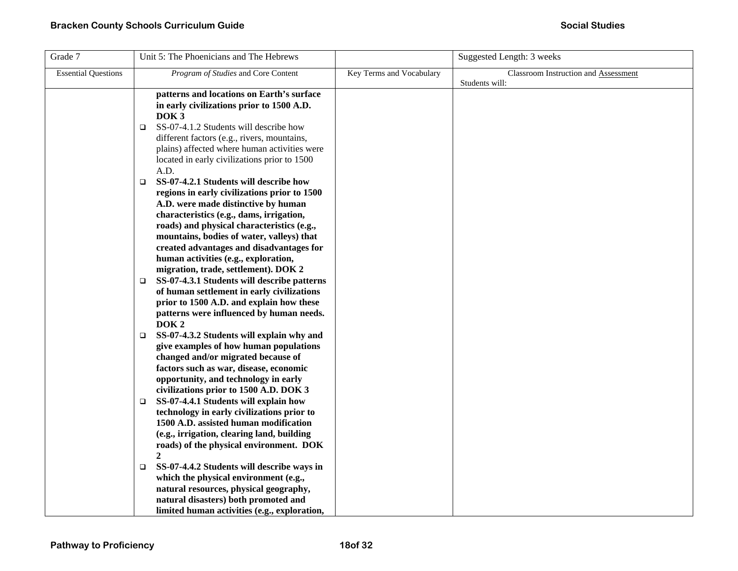| Grade 7                    | Unit 5: The Phoenicians and The Hebrews                                                                                                                                                                                                                                                                                                                                                                                                                                                                                                                                                                                                                                                                                                                                                                                                                                                                                                                                                                                                                                                                                                                                                                                                                                                                                                                                                                                                                                                                                                                                                        |                          | Suggested Length: 3 weeks            |
|----------------------------|------------------------------------------------------------------------------------------------------------------------------------------------------------------------------------------------------------------------------------------------------------------------------------------------------------------------------------------------------------------------------------------------------------------------------------------------------------------------------------------------------------------------------------------------------------------------------------------------------------------------------------------------------------------------------------------------------------------------------------------------------------------------------------------------------------------------------------------------------------------------------------------------------------------------------------------------------------------------------------------------------------------------------------------------------------------------------------------------------------------------------------------------------------------------------------------------------------------------------------------------------------------------------------------------------------------------------------------------------------------------------------------------------------------------------------------------------------------------------------------------------------------------------------------------------------------------------------------------|--------------------------|--------------------------------------|
| <b>Essential Questions</b> | Program of Studies and Core Content                                                                                                                                                                                                                                                                                                                                                                                                                                                                                                                                                                                                                                                                                                                                                                                                                                                                                                                                                                                                                                                                                                                                                                                                                                                                                                                                                                                                                                                                                                                                                            | Key Terms and Vocabulary | Classroom Instruction and Assessment |
|                            | patterns and locations on Earth's surface<br>in early civilizations prior to 1500 A.D.<br>DOK <sub>3</sub><br>SS-07-4.1.2 Students will describe how<br>▫<br>different factors (e.g., rivers, mountains,<br>plains) affected where human activities were<br>located in early civilizations prior to 1500<br>A.D.<br>SS-07-4.2.1 Students will describe how<br>$\Box$<br>regions in early civilizations prior to 1500<br>A.D. were made distinctive by human<br>characteristics (e.g., dams, irrigation,<br>roads) and physical characteristics (e.g.,<br>mountains, bodies of water, valleys) that<br>created advantages and disadvantages for<br>human activities (e.g., exploration,<br>migration, trade, settlement). DOK 2<br>SS-07-4.3.1 Students will describe patterns<br>□<br>of human settlement in early civilizations<br>prior to 1500 A.D. and explain how these<br>patterns were influenced by human needs.<br>DOK <sub>2</sub><br>SS-07-4.3.2 Students will explain why and<br>$\Box$<br>give examples of how human populations<br>changed and/or migrated because of<br>factors such as war, disease, economic<br>opportunity, and technology in early<br>civilizations prior to 1500 A.D. DOK 3<br>SS-07-4.4.1 Students will explain how<br>$\Box$<br>technology in early civilizations prior to<br>1500 A.D. assisted human modification<br>(e.g., irrigation, clearing land, building<br>roads) of the physical environment. DOK<br>2<br>SS-07-4.4.2 Students will describe ways in<br>O.<br>which the physical environment (e.g.,<br>natural resources, physical geography, |                          | Students will:                       |
|                            | natural disasters) both promoted and<br>limited human activities (e.g., exploration,                                                                                                                                                                                                                                                                                                                                                                                                                                                                                                                                                                                                                                                                                                                                                                                                                                                                                                                                                                                                                                                                                                                                                                                                                                                                                                                                                                                                                                                                                                           |                          |                                      |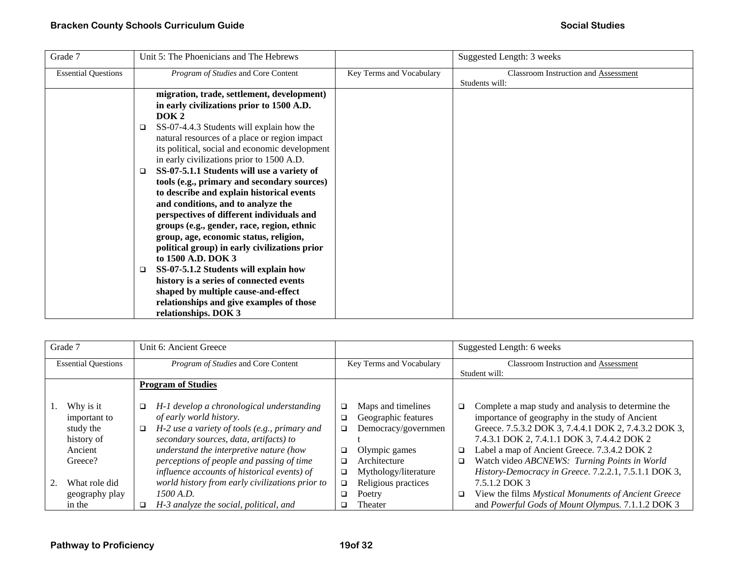| Grade 7                    | Unit 5: The Phoenicians and The Hebrews                                                                                                                                                                                                                                                                                                                                                                                                                                                                                                                                                                                                                                                                                                                                                                                                                                                                                 |                          | Suggested Length: 3 weeks                              |
|----------------------------|-------------------------------------------------------------------------------------------------------------------------------------------------------------------------------------------------------------------------------------------------------------------------------------------------------------------------------------------------------------------------------------------------------------------------------------------------------------------------------------------------------------------------------------------------------------------------------------------------------------------------------------------------------------------------------------------------------------------------------------------------------------------------------------------------------------------------------------------------------------------------------------------------------------------------|--------------------------|--------------------------------------------------------|
| <b>Essential Questions</b> | Program of Studies and Core Content                                                                                                                                                                                                                                                                                                                                                                                                                                                                                                                                                                                                                                                                                                                                                                                                                                                                                     | Key Terms and Vocabulary | Classroom Instruction and Assessment<br>Students will: |
|                            | migration, trade, settlement, development)<br>in early civilizations prior to 1500 A.D.<br>DOK <sub>2</sub><br>SS-07-4.4.3 Students will explain how the<br>□<br>natural resources of a place or region impact<br>its political, social and economic development<br>in early civilizations prior to 1500 A.D.<br>SS-07-5.1.1 Students will use a variety of<br>$\Box$<br>tools (e.g., primary and secondary sources)<br>to describe and explain historical events<br>and conditions, and to analyze the<br>perspectives of different individuals and<br>groups (e.g., gender, race, region, ethnic<br>group, age, economic status, religion,<br>political group) in early civilizations prior<br>to 1500 A.D. DOK 3<br>SS-07-5.1.2 Students will explain how<br>❏<br>history is a series of connected events<br>shaped by multiple cause-and-effect<br>relationships and give examples of those<br>relationships. DOK 3 |                          |                                                        |

| Grade 7                    |                |        | Unit 6: Ancient Greece                          |                          |                      |        | Suggested Length: 6 weeks                            |  |
|----------------------------|----------------|--------|-------------------------------------------------|--------------------------|----------------------|--------|------------------------------------------------------|--|
| <b>Essential Questions</b> |                |        | Program of Studies and Core Content             | Key Terms and Vocabulary |                      |        | <b>Classroom Instruction and Assessment</b>          |  |
|                            |                |        |                                                 |                          |                      |        | Student will:                                        |  |
|                            |                |        | <b>Program of Studies</b>                       |                          |                      |        |                                                      |  |
|                            |                |        |                                                 |                          |                      |        |                                                      |  |
| Why is it                  |                | □      | H-1 develop a chronological understanding       | $\Box$                   | Maps and timelines   | □      | Complete a map study and analysis to determine the   |  |
| important to               |                |        | of early world history.                         | ❏                        | Geographic features  |        | importance of geography in the study of Ancient      |  |
| study the                  |                | $\Box$ | H-2 use a variety of tools (e.g., primary and   | ❏                        | Democracy/governmen  |        | Greece. 7.5.3.2 DOK 3, 7.4.4.1 DOK 2, 7.4.3.2 DOK 3, |  |
| history of                 |                |        | secondary sources, data, artifacts) to          |                          |                      |        | 7.4.3.1 DOK 2, 7.4.1.1 DOK 3, 7.4.4.2 DOK 2          |  |
| Ancient                    |                |        | understand the interpretive nature (how         | ❏                        | Olympic games        | $\Box$ | Label a map of Ancient Greece. 7.3.4.2 DOK 2         |  |
| Greece?                    |                |        | perceptions of people and passing of time       | ❏                        | Architecture         | □      | Watch video ABCNEWS: Turning Points in World         |  |
|                            |                |        | influence accounts of historical events) of     | ❏                        | Mythology/literature |        | History-Democracy in Greece. 7.2.2.1, 7.5.1.1 DOK 3, |  |
|                            | What role did  |        | world history from early civilizations prior to | ❏                        | Religious practices  |        | 7.5.1.2 DOK 3                                        |  |
|                            | geography play |        | 1500 A.D.                                       | $\Box$                   | Poetry               | ❏      | View the films Mystical Monuments of Ancient Greece  |  |
| in the                     |                | □      | H-3 analyze the social, political, and          | □                        | Theater              |        | and Powerful Gods of Mount Olympus. 7.1.1.2 DOK 3    |  |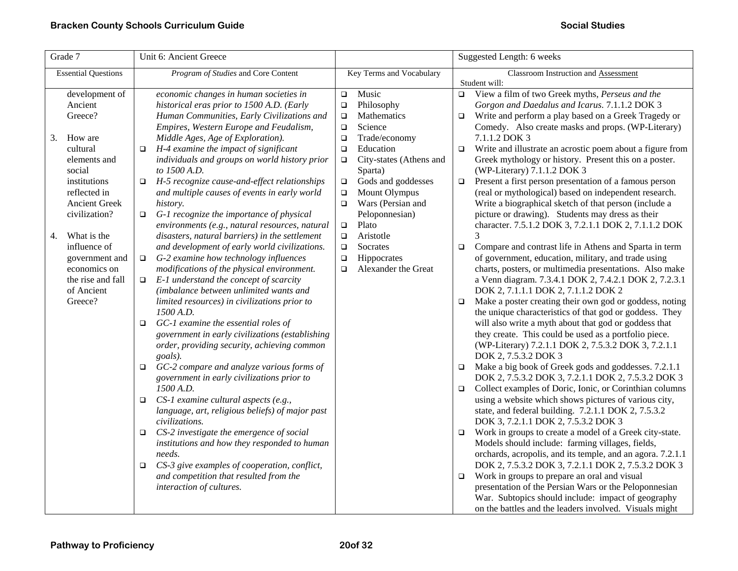| Grade 7                                                                                                                                                                                                   | Unit 6: Ancient Greece                                                                                                                                                                                                                                                                                                                                                                                                                                                                                                                                                                                                                                           | Suggested Length: 6 weeks                                                                                                                                                                                                                                                                                                                                           |                                                                                                                                                                                                                                                                                                                                                                                                                                                                                                                                                                                                                                                                                                                                                                                                        |
|-----------------------------------------------------------------------------------------------------------------------------------------------------------------------------------------------------------|------------------------------------------------------------------------------------------------------------------------------------------------------------------------------------------------------------------------------------------------------------------------------------------------------------------------------------------------------------------------------------------------------------------------------------------------------------------------------------------------------------------------------------------------------------------------------------------------------------------------------------------------------------------|---------------------------------------------------------------------------------------------------------------------------------------------------------------------------------------------------------------------------------------------------------------------------------------------------------------------------------------------------------------------|--------------------------------------------------------------------------------------------------------------------------------------------------------------------------------------------------------------------------------------------------------------------------------------------------------------------------------------------------------------------------------------------------------------------------------------------------------------------------------------------------------------------------------------------------------------------------------------------------------------------------------------------------------------------------------------------------------------------------------------------------------------------------------------------------------|
| <b>Essential Questions</b>                                                                                                                                                                                | Program of Studies and Core Content<br>Key Terms and Vocabulary                                                                                                                                                                                                                                                                                                                                                                                                                                                                                                                                                                                                  |                                                                                                                                                                                                                                                                                                                                                                     | Classroom Instruction and Assessment                                                                                                                                                                                                                                                                                                                                                                                                                                                                                                                                                                                                                                                                                                                                                                   |
| development of<br>Ancient<br>Greece?<br>3.<br>How are<br>cultural<br>elements and<br>social<br>institutions<br>reflected in<br><b>Ancient Greek</b><br>civilization?<br>What is the<br>4.<br>influence of | economic changes in human societies in<br>historical eras prior to 1500 A.D. (Early<br>Human Communities, Early Civilizations and<br>Empires, Western Europe and Feudalism,<br>Middle Ages, Age of Exploration).<br>H-4 examine the impact of significant<br>□<br>individuals and groups on world history prior<br>to 1500 A.D.<br>H-5 recognize cause-and-effect relationships<br>$\Box$<br>and multiple causes of events in early world<br>history.<br>G-1 recognize the importance of physical<br>$\Box$<br>environments (e.g., natural resources, natural<br>disasters, natural barriers) in the settlement<br>and development of early world civilizations. | Music<br>$\Box$<br>Philosophy<br>$\Box$<br>Mathematics<br>$\Box$<br>Science<br>$\Box$<br>Trade/economy<br>$\Box$<br>Education<br>$\Box$<br>City-states (Athens and<br>$\Box$<br>Sparta)<br>Gods and goddesses<br>$\Box$<br>Mount Olympus<br>$\Box$<br>Wars (Persian and<br>$\Box$<br>Peloponnesian)<br>Plato<br>$\Box$<br>Aristotle<br>$\Box$<br>Socrates<br>$\Box$ | Student will:<br>$\Box$ View a film of two Greek myths, Perseus and the<br>Gorgon and Daedalus and Icarus. 7.1.1.2 DOK 3<br>Write and perform a play based on a Greek Tragedy or<br>$\Box$<br>Comedy. Also create masks and props. (WP-Literary)<br>7.1.1.2 DOK 3<br>Write and illustrate an acrostic poem about a figure from<br>$\Box$<br>Greek mythology or history. Present this on a poster.<br>(WP-Literary) 7.1.1.2 DOK 3<br>Present a first person presentation of a famous person<br>$\Box$<br>(real or mythological) based on independent research.<br>Write a biographical sketch of that person (include a<br>picture or drawing). Students may dress as their<br>character. 7.5.1.2 DOK 3, 7.2.1.1 DOK 2, 7.1.1.2 DOK<br>Compare and contrast life in Athens and Sparta in term<br>$\Box$ |
| government and<br>economics on<br>the rise and fall<br>of Ancient<br>Greece?                                                                                                                              | G-2 examine how technology influences<br>$\Box$<br>modifications of the physical environment.<br>E-1 understand the concept of scarcity<br>$\Box$<br>(imbalance between unlimited wants and<br>limited resources) in civilizations prior to<br>1500 A.D.<br>GC-1 examine the essential roles of<br>$\Box$<br>government in early civilizations (establishing<br>order, providing security, achieving common<br>goals).<br>GC-2 compare and analyze various forms of<br>$\Box$<br>government in early civilizations prior to                                                                                                                                      | Hippocrates<br>$\Box$<br>Alexander the Great<br>$\Box$                                                                                                                                                                                                                                                                                                              | of government, education, military, and trade using<br>charts, posters, or multimedia presentations. Also make<br>a Venn diagram. 7.3.4.1 DOK 2, 7.4.2.1 DOK 2, 7.2.3.1<br>DOK 2, 7.1.1.1 DOK 2, 7.1.1.2 DOK 2<br>Make a poster creating their own god or goddess, noting<br>$\Box$<br>the unique characteristics of that god or goddess. They<br>will also write a myth about that god or goddess that<br>they create. This could be used as a portfolio piece.<br>(WP-Literary) 7.2.1.1 DOK 2, 7.5.3.2 DOK 3, 7.2.1.1<br>DOK 2, 7.5.3.2 DOK 3<br>Make a big book of Greek gods and goddesses. 7.2.1.1<br>$\Box$<br>DOK 2, 7.5.3.2 DOK 3, 7.2.1.1 DOK 2, 7.5.3.2 DOK 3                                                                                                                                |
|                                                                                                                                                                                                           | 1500 A.D.<br>CS-1 examine cultural aspects (e.g.,<br>$\Box$<br>language, art, religious beliefs) of major past<br>civilizations.<br>CS-2 investigate the emergence of social<br>□<br>institutions and how they responded to human<br>needs.<br>CS-3 give examples of cooperation, conflict,<br>□<br>and competition that resulted from the<br>interaction of cultures.                                                                                                                                                                                                                                                                                           |                                                                                                                                                                                                                                                                                                                                                                     | Collect examples of Doric, Ionic, or Corinthian columns<br>$\Box$<br>using a website which shows pictures of various city,<br>state, and federal building. 7.2.1.1 DOK 2, 7.5.3.2<br>DOK 3, 7.2.1.1 DOK 2, 7.5.3.2 DOK 3<br>Work in groups to create a model of a Greek city-state.<br>$\Box$<br>Models should include: farming villages, fields,<br>orchards, acropolis, and its temple, and an agora. 7.2.1.1<br>DOK 2, 7.5.3.2 DOK 3, 7.2.1.1 DOK 2, 7.5.3.2 DOK 3<br>Work in groups to prepare an oral and visual<br>$\Box$<br>presentation of the Persian Wars or the Peloponnesian                                                                                                                                                                                                               |
|                                                                                                                                                                                                           |                                                                                                                                                                                                                                                                                                                                                                                                                                                                                                                                                                                                                                                                  |                                                                                                                                                                                                                                                                                                                                                                     | War. Subtopics should include: impact of geography<br>on the battles and the leaders involved. Visuals might                                                                                                                                                                                                                                                                                                                                                                                                                                                                                                                                                                                                                                                                                           |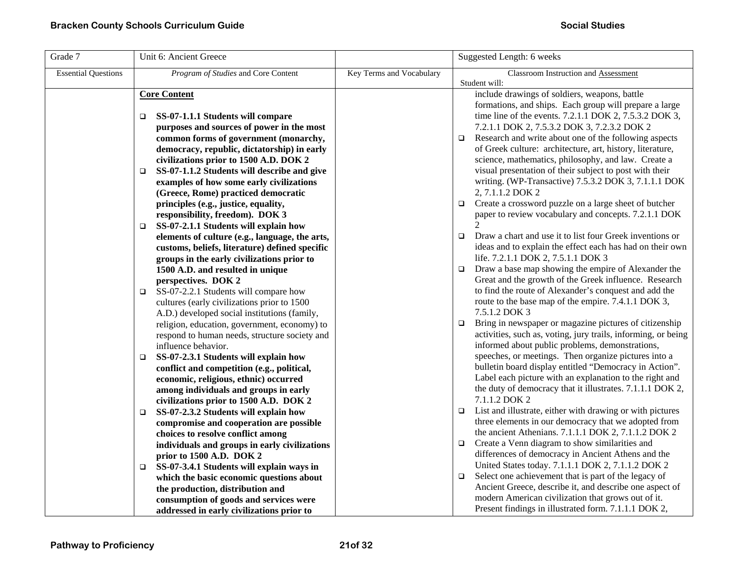| Grade 7                    | Unit 6: Ancient Greece                                                          |                          | Suggested Length: 6 weeks                                                                               |
|----------------------------|---------------------------------------------------------------------------------|--------------------------|---------------------------------------------------------------------------------------------------------|
| <b>Essential Questions</b> | Program of Studies and Core Content                                             | Key Terms and Vocabulary | Classroom Instruction and Assessment<br>Student will:                                                   |
|                            | <b>Core Content</b>                                                             |                          | include drawings of soldiers, weapons, battle<br>formations, and ships. Each group will prepare a large |
|                            | SS-07-1.1.1 Students will compare<br>o.                                         |                          | time line of the events. 7.2.1.1 DOK 2, 7.5.3.2 DOK 3,                                                  |
|                            | purposes and sources of power in the most                                       |                          | 7.2.1.1 DOK 2, 7.5.3.2 DOK 3, 7.2.3.2 DOK 2                                                             |
|                            | common forms of government (monarchy,                                           |                          | Research and write about one of the following aspects<br>$\Box$                                         |
|                            | democracy, republic, dictatorship) in early                                     |                          | of Greek culture: architecture, art, history, literature,                                               |
|                            | civilizations prior to 1500 A.D. DOK 2                                          |                          | science, mathematics, philosophy, and law. Create a                                                     |
|                            | SS-07-1.1.2 Students will describe and give<br>❏                                |                          | visual presentation of their subject to post with their                                                 |
|                            | examples of how some early civilizations                                        |                          | writing. (WP-Transactive) 7.5.3.2 DOK 3, 7.1.1.1 DOK                                                    |
|                            | (Greece, Rome) practiced democratic                                             |                          | 2, 7.1.1.2 DOK 2                                                                                        |
|                            | principles (e.g., justice, equality,                                            |                          | Create a crossword puzzle on a large sheet of butcher<br>$\Box$                                         |
|                            | responsibility, freedom). DOK 3                                                 |                          | paper to review vocabulary and concepts. 7.2.1.1 DOK                                                    |
|                            | SS-07-2.1.1 Students will explain how<br>$\Box$                                 |                          | $\mathfrak{D}$                                                                                          |
|                            | elements of culture (e.g., language, the arts,                                  |                          | Draw a chart and use it to list four Greek inventions or<br>$\Box$                                      |
|                            | customs, beliefs, literature) defined specific                                  |                          | ideas and to explain the effect each has had on their own                                               |
|                            | groups in the early civilizations prior to                                      |                          | life. 7.2.1.1 DOK 2, 7.5.1.1 DOK 3                                                                      |
|                            | 1500 A.D. and resulted in unique                                                |                          | Draw a base map showing the empire of Alexander the<br>$\Box$                                           |
|                            | perspectives. DOK 2                                                             |                          | Great and the growth of the Greek influence. Research                                                   |
|                            | SS-07-2.2.1 Students will compare how<br>$\Box$                                 |                          | to find the route of Alexander's conquest and add the                                                   |
|                            | cultures (early civilizations prior to 1500                                     |                          | route to the base map of the empire. 7.4.1.1 DOK 3,                                                     |
|                            | A.D.) developed social institutions (family,                                    |                          | 7.5.1.2 DOK 3                                                                                           |
|                            | religion, education, government, economy) to                                    |                          | Bring in newspaper or magazine pictures of citizenship<br>$\Box$                                        |
|                            | respond to human needs, structure society and                                   |                          | activities, such as, voting, jury trails, informing, or being                                           |
|                            | influence behavior.                                                             |                          | informed about public problems, demonstrations,<br>speeches, or meetings. Then organize pictures into a |
|                            | SS-07-2.3.1 Students will explain how<br>$\Box$                                 |                          | bulletin board display entitled "Democracy in Action".                                                  |
|                            | conflict and competition (e.g., political,                                      |                          | Label each picture with an explanation to the right and                                                 |
|                            | economic, religious, ethnic) occurred                                           |                          | the duty of democracy that it illustrates. 7.1.1.1 DOK 2,                                               |
|                            | among individuals and groups in early<br>civilizations prior to 1500 A.D. DOK 2 |                          | 7.1.1.2 DOK 2                                                                                           |
|                            | SS-07-2.3.2 Students will explain how<br>$\Box$                                 |                          | List and illustrate, either with drawing or with pictures<br>$\Box$                                     |
|                            | compromise and cooperation are possible                                         |                          | three elements in our democracy that we adopted from                                                    |
|                            | choices to resolve conflict among                                               |                          | the ancient Athenians. 7.1.1.1 DOK 2, 7.1.1.2 DOK 2                                                     |
|                            | individuals and groups in early civilizations                                   |                          | Create a Venn diagram to show similarities and<br>$\Box$                                                |
|                            | prior to 1500 A.D. DOK 2                                                        |                          | differences of democracy in Ancient Athens and the                                                      |
|                            | SS-07-3.4.1 Students will explain ways in<br>$\Box$                             |                          | United States today. 7.1.1.1 DOK 2, 7.1.1.2 DOK 2                                                       |
|                            | which the basic economic questions about                                        |                          | Select one achievement that is part of the legacy of<br>$\Box$                                          |
|                            | the production, distribution and                                                |                          | Ancient Greece, describe it, and describe one aspect of                                                 |
|                            | consumption of goods and services were                                          |                          | modern American civilization that grows out of it.                                                      |
|                            | addressed in early civilizations prior to                                       |                          | Present findings in illustrated form. 7.1.1.1 DOK 2,                                                    |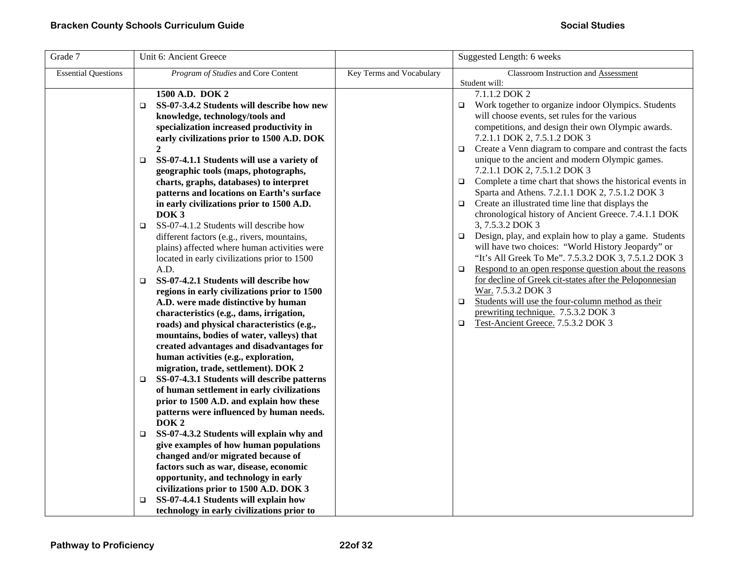| Grade 7                    | Unit 6: Ancient Greece                                |                          | Suggested Length: 6 weeks                                           |
|----------------------------|-------------------------------------------------------|--------------------------|---------------------------------------------------------------------|
| <b>Essential Questions</b> | <i>Program of Studies</i> and Core Content            | Key Terms and Vocabulary | Classroom Instruction and Assessment<br>Student will:               |
|                            | 1500 A.D. DOK 2                                       |                          | 7.1.1.2 DOK 2                                                       |
|                            | SS-07-3.4.2 Students will describe how new<br>$\Box$  |                          | Work together to organize indoor Olympics. Students<br>□            |
|                            | knowledge, technology/tools and                       |                          | will choose events, set rules for the various                       |
|                            | specialization increased productivity in              |                          | competitions, and design their own Olympic awards.                  |
|                            | early civilizations prior to 1500 A.D. DOK            |                          | 7.2.1.1 DOK 2, 7.5.1.2 DOK 3                                        |
|                            | $\mathbf{2}$                                          |                          | Create a Venn diagram to compare and contrast the facts<br>$\Box$   |
|                            | SS-07-4.1.1 Students will use a variety of            |                          | unique to the ancient and modern Olympic games.                     |
|                            | $\Box$<br>geographic tools (maps, photographs,        |                          | 7.2.1.1 DOK 2, 7.5.1.2 DOK 3                                        |
|                            | charts, graphs, databases) to interpret               |                          | Complete a time chart that shows the historical events in<br>$\Box$ |
|                            | patterns and locations on Earth's surface             |                          | Sparta and Athens. 7.2.1.1 DOK 2, 7.5.1.2 DOK 3                     |
|                            | in early civilizations prior to 1500 A.D.             |                          | Create an illustrated time line that displays the<br>$\Box$         |
|                            | DOK <sub>3</sub>                                      |                          | chronological history of Ancient Greece. 7.4.1.1 DOK                |
|                            | SS-07-4.1.2 Students will describe how<br>$\Box$      |                          | 3, 7.5.3.2 DOK 3                                                    |
|                            | different factors (e.g., rivers, mountains,           |                          | Design, play, and explain how to play a game. Students<br>$\Box$    |
|                            | plains) affected where human activities were          |                          | will have two choices: "World History Jeopardy" or                  |
|                            | located in early civilizations prior to 1500          |                          | "It's All Greek To Me". 7.5.3.2 DOK 3, 7.5.1.2 DOK 3                |
|                            | A.D.                                                  |                          | Respond to an open response question about the reasons<br>$\Box$    |
|                            | SS-07-4.2.1 Students will describe how<br>$\Box$      |                          | for decline of Greek cit-states after the Peloponnesian             |
|                            | regions in early civilizations prior to 1500          |                          | War. 7.5.3.2 DOK 3                                                  |
|                            | A.D. were made distinctive by human                   |                          | Students will use the four-column method as their<br>$\Box$         |
|                            | characteristics (e.g., dams, irrigation,              |                          | prewriting technique. 7.5.3.2 DOK 3                                 |
|                            | roads) and physical characteristics (e.g.,            |                          | Test-Ancient Greece. 7.5.3.2 DOK 3<br>$\Box$                        |
|                            | mountains, bodies of water, valleys) that             |                          |                                                                     |
|                            | created advantages and disadvantages for              |                          |                                                                     |
|                            | human activities (e.g., exploration,                  |                          |                                                                     |
|                            | migration, trade, settlement). DOK 2                  |                          |                                                                     |
|                            | SS-07-4.3.1 Students will describe patterns<br>$\Box$ |                          |                                                                     |
|                            | of human settlement in early civilizations            |                          |                                                                     |
|                            | prior to 1500 A.D. and explain how these              |                          |                                                                     |
|                            | patterns were influenced by human needs.              |                          |                                                                     |
|                            | DOK <sub>2</sub>                                      |                          |                                                                     |
|                            | SS-07-4.3.2 Students will explain why and<br>□        |                          |                                                                     |
|                            | give examples of how human populations                |                          |                                                                     |
|                            | changed and/or migrated because of                    |                          |                                                                     |
|                            | factors such as war, disease, economic                |                          |                                                                     |
|                            | opportunity, and technology in early                  |                          |                                                                     |
|                            | civilizations prior to 1500 A.D. DOK 3                |                          |                                                                     |
|                            | SS-07-4.4.1 Students will explain how<br>□            |                          |                                                                     |
|                            | technology in early civilizations prior to            |                          |                                                                     |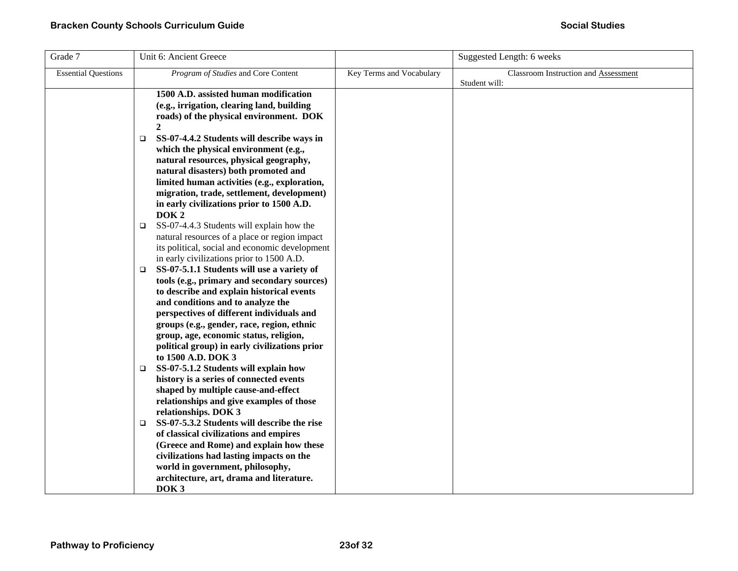| Grade 7                    | Unit 6: Ancient Greece                                                                                                                                                                                                                                                                                                                                                            |                          | Suggested Length: 6 weeks            |
|----------------------------|-----------------------------------------------------------------------------------------------------------------------------------------------------------------------------------------------------------------------------------------------------------------------------------------------------------------------------------------------------------------------------------|--------------------------|--------------------------------------|
| <b>Essential Questions</b> | Program of Studies and Core Content                                                                                                                                                                                                                                                                                                                                               | Key Terms and Vocabulary | Classroom Instruction and Assessment |
|                            | 1500 A.D. assisted human modification<br>(e.g., irrigation, clearing land, building<br>roads) of the physical environment. DOK<br>$\mathbf{2}$<br>SS-07-4.4.2 Students will describe ways in<br>$\Box$<br>which the physical environment (e.g.,<br>natural resources, physical geography,<br>natural disasters) both promoted and<br>limited human activities (e.g., exploration, |                          | Student will:                        |
|                            | migration, trade, settlement, development)<br>in early civilizations prior to 1500 A.D.<br>DOK <sub>2</sub>                                                                                                                                                                                                                                                                       |                          |                                      |
|                            | SS-07-4.4.3 Students will explain how the<br>$\Box$<br>natural resources of a place or region impact<br>its political, social and economic development<br>in early civilizations prior to 1500 A.D.                                                                                                                                                                               |                          |                                      |
|                            | SS-07-5.1.1 Students will use a variety of<br>$\Box$<br>tools (e.g., primary and secondary sources)<br>to describe and explain historical events<br>and conditions and to analyze the<br>perspectives of different individuals and<br>groups (e.g., gender, race, region, ethnic<br>group, age, economic status, religion,<br>political group) in early civilizations prior       |                          |                                      |
|                            | to 1500 A.D. DOK 3<br>SS-07-5.1.2 Students will explain how<br>$\Box$<br>history is a series of connected events<br>shaped by multiple cause-and-effect<br>relationships and give examples of those<br>relationships. DOK 3                                                                                                                                                       |                          |                                      |
|                            | SS-07-5.3.2 Students will describe the rise<br>$\Box$<br>of classical civilizations and empires<br>(Greece and Rome) and explain how these<br>civilizations had lasting impacts on the<br>world in government, philosophy,<br>architecture, art, drama and literature.<br>DOK <sub>3</sub>                                                                                        |                          |                                      |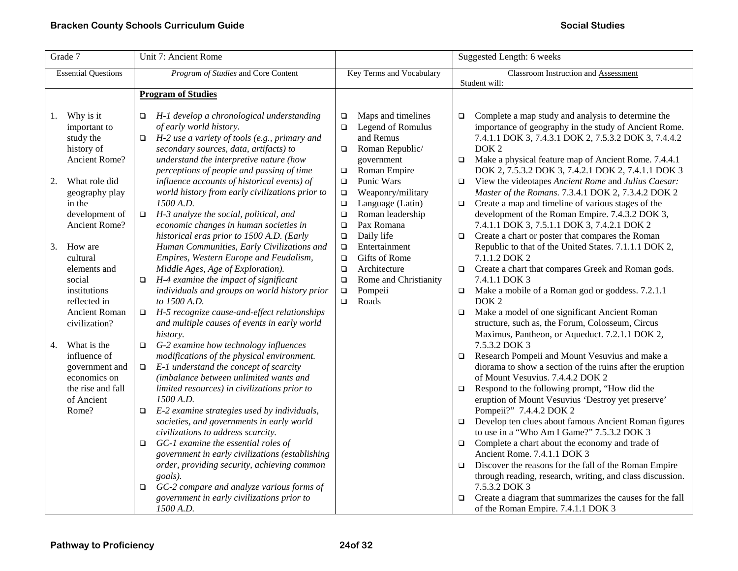| Grade 7                                                                                                                          | Unit 7: Ancient Rome                                                                                                                                                                                                                                                                                                                                                                                                                                                                                                                                                                                                                                                                                                                             | Suggested Length: 6 weeks                                                                                                                                       |                                                                                                                                                                                                                                                                                                                                                                                                                                                                                                                                                                                                                                                                                                                                                                                                                                                  |
|----------------------------------------------------------------------------------------------------------------------------------|--------------------------------------------------------------------------------------------------------------------------------------------------------------------------------------------------------------------------------------------------------------------------------------------------------------------------------------------------------------------------------------------------------------------------------------------------------------------------------------------------------------------------------------------------------------------------------------------------------------------------------------------------------------------------------------------------------------------------------------------------|-----------------------------------------------------------------------------------------------------------------------------------------------------------------|--------------------------------------------------------------------------------------------------------------------------------------------------------------------------------------------------------------------------------------------------------------------------------------------------------------------------------------------------------------------------------------------------------------------------------------------------------------------------------------------------------------------------------------------------------------------------------------------------------------------------------------------------------------------------------------------------------------------------------------------------------------------------------------------------------------------------------------------------|
| <b>Essential Questions</b>                                                                                                       | Program of Studies and Core Content                                                                                                                                                                                                                                                                                                                                                                                                                                                                                                                                                                                                                                                                                                              | Key Terms and Vocabulary                                                                                                                                        | Classroom Instruction and Assessment<br>Student will:                                                                                                                                                                                                                                                                                                                                                                                                                                                                                                                                                                                                                                                                                                                                                                                            |
|                                                                                                                                  | <b>Program of Studies</b>                                                                                                                                                                                                                                                                                                                                                                                                                                                                                                                                                                                                                                                                                                                        |                                                                                                                                                                 |                                                                                                                                                                                                                                                                                                                                                                                                                                                                                                                                                                                                                                                                                                                                                                                                                                                  |
| Why is it<br>1.<br>important to<br>study the<br>history of<br>Ancient Rome?                                                      | H-1 develop a chronological understanding<br>of early world history.<br>$\Box$ H-2 use a variety of tools (e.g., primary and<br>secondary sources, data, artifacts) to<br>understand the interpretive nature (how<br>perceptions of people and passing of time                                                                                                                                                                                                                                                                                                                                                                                                                                                                                   | Maps and timelines<br>$\Box$<br>Legend of Romulus<br>$\Box$<br>and Remus<br>Roman Republic/<br>$\Box$<br>government<br>Roman Empire<br>$\Box$                   | Complete a map study and analysis to determine the<br>$\Box$<br>importance of geography in the study of Ancient Rome.<br>7.4.1.1 DOK 3, 7.4.3.1 DOK 2, 7.5.3.2 DOK 3, 7.4.4.2<br>DOK <sub>2</sub><br>Make a physical feature map of Ancient Rome. 7.4.4.1<br>$\Box$<br>DOK 2, 7.5.3.2 DOK 3, 7.4.2.1 DOK 2, 7.4.1.1 DOK 3                                                                                                                                                                                                                                                                                                                                                                                                                                                                                                                        |
| 2.<br>What role did<br>geography play<br>in the<br>development of<br>Ancient Rome?                                               | influence accounts of historical events) of<br>world history from early civilizations prior to<br>1500 A.D.<br>H-3 analyze the social, political, and<br>$\Box$<br>economic changes in human societies in<br>historical eras prior to 1500 A.D. (Early                                                                                                                                                                                                                                                                                                                                                                                                                                                                                           | Punic Wars<br>$\Box$<br>Weaponry/military<br>$\Box$<br>Language (Latin)<br>$\Box$<br>Roman leadership<br>$\Box$<br>Pax Romana<br>$\Box$<br>Daily life<br>$\Box$ | View the videotapes Ancient Rome and Julius Caesar:<br>$\Box$<br>Master of the Romans. 7.3.4.1 DOK 2, 7.3.4.2 DOK 2<br>Create a map and timeline of various stages of the<br>$\Box$<br>development of the Roman Empire. 7.4.3.2 DOK 3,<br>7.4.1.1 DOK 3, 7.5.1.1 DOK 3, 7.4.2.1 DOK 2<br>Create a chart or poster that compares the Roman<br>$\Box$                                                                                                                                                                                                                                                                                                                                                                                                                                                                                              |
| 3.<br>How are<br>cultural<br>elements and<br>social<br>institutions<br>reflected in<br><b>Ancient Roman</b>                      | Human Communities, Early Civilizations and<br>Empires, Western Europe and Feudalism,<br>Middle Ages, Age of Exploration).<br>H-4 examine the impact of significant<br>$\Box$<br>individuals and groups on world history prior<br>to 1500 A.D.<br>$\Box$ H-5 recognize cause-and-effect relationships                                                                                                                                                                                                                                                                                                                                                                                                                                             | Entertainment<br>$\Box$<br>Gifts of Rome<br>$\Box$<br>Architecture<br>$\Box$<br>Rome and Christianity<br>$\Box$<br>Pompeii<br>$\Box$<br>Roads<br>$\Box$         | Republic to that of the United States. 7.1.1.1 DOK 2,<br>7.1.1.2 DOK 2<br>Create a chart that compares Greek and Roman gods.<br>$\Box$<br>7.4.1.1 DOK 3<br>Make a mobile of a Roman god or goddess. 7.2.1.1<br>$\Box$<br>DOK <sub>2</sub><br>Make a model of one significant Ancient Roman<br>$\Box$<br>structure, such as, the Forum, Colosseum, Circus                                                                                                                                                                                                                                                                                                                                                                                                                                                                                         |
| civilization?<br>What is the<br>4.<br>influence of<br>government and<br>economics on<br>the rise and fall<br>of Ancient<br>Rome? | and multiple causes of events in early world<br>history.<br>G-2 examine how technology influences<br>$\Box$<br>modifications of the physical environment.<br>E-1 understand the concept of scarcity<br>$\Box$<br>(imbalance between unlimited wants and<br>limited resources) in civilizations prior to<br>1500 A.D.<br>E-2 examine strategies used by individuals,<br>$\Box$<br>societies, and governments in early world<br>civilizations to address scarcity.<br>GC-1 examine the essential roles of<br>$\Box$<br>government in early civilizations (establishing<br>order, providing security, achieving common<br>goals).<br>GC-2 compare and analyze various forms of<br>$\Box$<br>government in early civilizations prior to<br>1500 A.D. |                                                                                                                                                                 | Maximus, Pantheon, or Aqueduct. 7.2.1.1 DOK 2,<br>7.5.3.2 DOK 3<br>Research Pompeii and Mount Vesuvius and make a<br>$\Box$<br>diorama to show a section of the ruins after the eruption<br>of Mount Vesuvius. 7.4.4.2 DOK 2<br>Respond to the following prompt, "How did the<br>$\Box$<br>eruption of Mount Vesuvius 'Destroy yet preserve'<br>Pompeii?" 7.4.4.2 DOK 2<br>Develop ten clues about famous Ancient Roman figures<br>$\Box$<br>to use in a "Who Am I Game?" 7.5.3.2 DOK 3<br>Complete a chart about the economy and trade of<br>$\Box$<br>Ancient Rome. 7.4.1.1 DOK 3<br>Discover the reasons for the fall of the Roman Empire<br>$\Box$<br>through reading, research, writing, and class discussion.<br>7.5.3.2 DOK 3<br>Create a diagram that summarizes the causes for the fall<br>$\Box$<br>of the Roman Empire. 7.4.1.1 DOK 3 |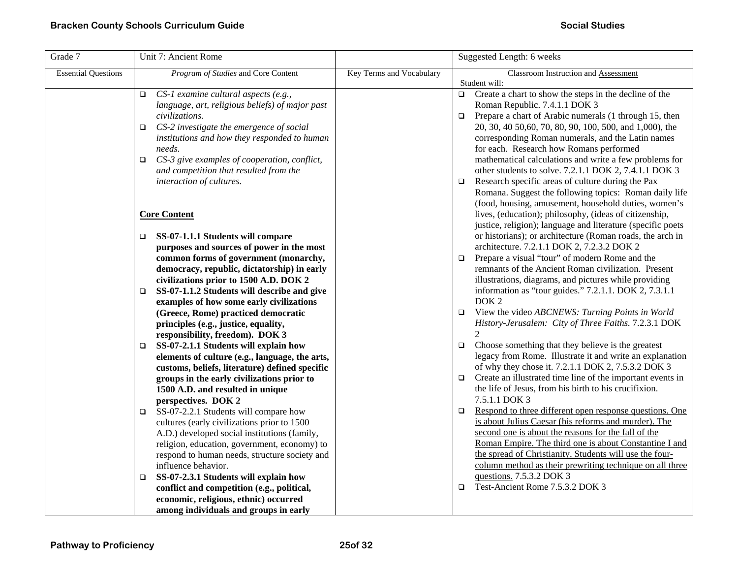| Grade 7                    | Unit 7: Ancient Rome                                                                              |                          | Suggested Length: 6 weeks                                                                         |
|----------------------------|---------------------------------------------------------------------------------------------------|--------------------------|---------------------------------------------------------------------------------------------------|
| <b>Essential Questions</b> | Program of Studies and Core Content                                                               | Key Terms and Vocabulary | Classroom Instruction and Assessment                                                              |
|                            |                                                                                                   |                          | Student will:                                                                                     |
|                            | CS-1 examine cultural aspects (e.g.,<br>$\Box$<br>language, art, religious beliefs) of major past |                          | Create a chart to show the steps in the decline of the<br>$\Box$<br>Roman Republic. 7.4.1.1 DOK 3 |
|                            | civilizations.                                                                                    |                          | Prepare a chart of Arabic numerals (1 through 15, then<br>$\Box$                                  |
|                            | CS-2 investigate the emergence of social<br>o.                                                    |                          | 20, 30, 40 50, 60, 70, 80, 90, 100, 500, and 1,000), the                                          |
|                            | institutions and how they responded to human                                                      |                          | corresponding Roman numerals, and the Latin names                                                 |
|                            | needs.                                                                                            |                          | for each. Research how Romans performed                                                           |
|                            | CS-3 give examples of cooperation, conflict,<br>$\Box$                                            |                          | mathematical calculations and write a few problems for                                            |
|                            | and competition that resulted from the                                                            |                          | other students to solve. 7.2.1.1 DOK 2, 7.4.1.1 DOK 3                                             |
|                            | interaction of cultures.                                                                          |                          | Research specific areas of culture during the Pax<br>$\Box$                                       |
|                            |                                                                                                   |                          | Romana. Suggest the following topics: Roman daily life                                            |
|                            |                                                                                                   |                          | (food, housing, amusement, household duties, women's                                              |
|                            | <b>Core Content</b>                                                                               |                          | lives, (education); philosophy, (ideas of citizenship,                                            |
|                            |                                                                                                   |                          | justice, religion); language and literature (specific poets                                       |
|                            | SS-07-1.1.1 Students will compare<br>$\Box$                                                       |                          | or historians); or architecture (Roman roads, the arch in                                         |
|                            | purposes and sources of power in the most                                                         |                          | architecture. 7.2.1.1 DOK 2, 7.2.3.2 DOK 2                                                        |
|                            | common forms of government (monarchy,                                                             |                          | Prepare a visual "tour" of modern Rome and the<br>$\Box$                                          |
|                            | democracy, republic, dictatorship) in early                                                       |                          | remnants of the Ancient Roman civilization. Present                                               |
|                            | civilizations prior to 1500 A.D. DOK 2                                                            |                          | illustrations, diagrams, and pictures while providing                                             |
|                            | SS-07-1.1.2 Students will describe and give<br>$\Box$                                             |                          | information as "tour guides." 7.2.1.1. DOK 2, 7.3.1.1                                             |
|                            | examples of how some early civilizations                                                          |                          | DOK <sub>2</sub>                                                                                  |
|                            | (Greece, Rome) practiced democratic                                                               |                          | View the video ABCNEWS: Turning Points in World<br>$\Box$                                         |
|                            | principles (e.g., justice, equality,                                                              |                          | History-Jerusalem: City of Three Faiths. 7.2.3.1 DOK                                              |
|                            | responsibility, freedom). DOK 3                                                                   |                          | $\mathfrak{D}$                                                                                    |
|                            | SS-07-2.1.1 Students will explain how<br>□                                                        |                          | Choose something that they believe is the greatest<br>$\Box$                                      |
|                            | elements of culture (e.g., language, the arts,                                                    |                          | legacy from Rome. Illustrate it and write an explanation                                          |
|                            | customs, beliefs, literature) defined specific                                                    |                          | of why they chose it. 7.2.1.1 DOK 2, 7.5.3.2 DOK 3                                                |
|                            | groups in the early civilizations prior to                                                        |                          | Create an illustrated time line of the important events in<br>$\Box$                              |
|                            | 1500 A.D. and resulted in unique                                                                  |                          | the life of Jesus, from his birth to his crucifixion.                                             |
|                            | perspectives. DOK 2                                                                               |                          | 7.5.1.1 DOK 3                                                                                     |
|                            | SS-07-2.2.1 Students will compare how<br>$\Box$                                                   |                          | Respond to three different open response questions. One<br>$\Box$                                 |
|                            | cultures (early civilizations prior to 1500                                                       |                          | is about Julius Caesar (his reforms and murder). The                                              |
|                            | A.D.) developed social institutions (family,                                                      |                          | second one is about the reasons for the fall of the                                               |
|                            | religion, education, government, economy) to                                                      |                          | Roman Empire. The third one is about Constantine I and                                            |
|                            | respond to human needs, structure society and                                                     |                          | the spread of Christianity. Students will use the four-                                           |
|                            | influence behavior.                                                                               |                          | column method as their prewriting technique on all three                                          |
|                            | SS-07-2.3.1 Students will explain how<br>$\Box$                                                   |                          | questions. 7.5.3.2 DOK 3                                                                          |
|                            | conflict and competition (e.g., political,                                                        |                          | Test-Ancient Rome 7.5.3.2 DOK 3<br>$\Box$                                                         |
|                            | economic, religious, ethnic) occurred                                                             |                          |                                                                                                   |
|                            | among individuals and groups in early                                                             |                          |                                                                                                   |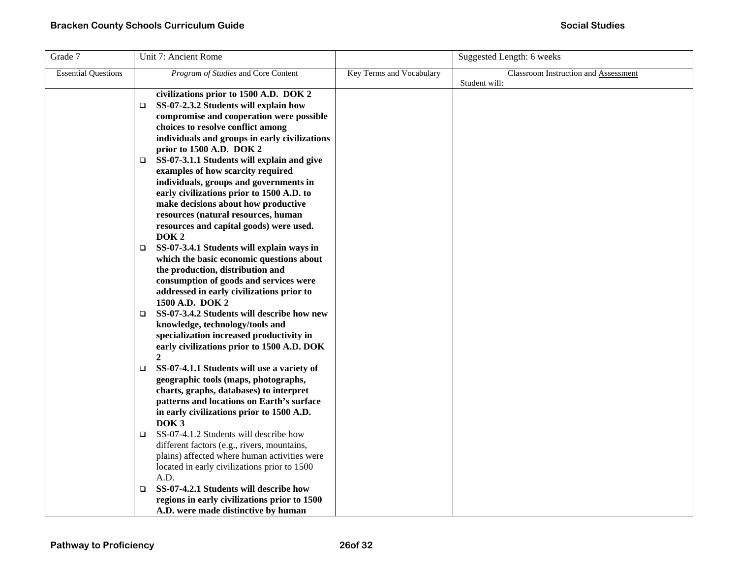| Grade 7                    | Unit 7: Ancient Rome                                                                                                                                                                                                                                          |                          | Suggested Length: 6 weeks                                    |
|----------------------------|---------------------------------------------------------------------------------------------------------------------------------------------------------------------------------------------------------------------------------------------------------------|--------------------------|--------------------------------------------------------------|
| <b>Essential Questions</b> | Program of Studies and Core Content                                                                                                                                                                                                                           | Key Terms and Vocabulary | <b>Classroom Instruction and Assessment</b><br>Student will: |
|                            | civilizations prior to 1500 A.D. DOK 2<br>SS-07-2.3.2 Students will explain how<br>$\Box$<br>compromise and cooperation were possible<br>choices to resolve conflict among                                                                                    |                          |                                                              |
|                            | individuals and groups in early civilizations<br>prior to 1500 A.D. DOK 2<br>SS-07-3.1.1 Students will explain and give<br>$\Box$<br>examples of how scarcity required<br>individuals, groups and governments in<br>early civilizations prior to 1500 A.D. to |                          |                                                              |
|                            | make decisions about how productive<br>resources (natural resources, human<br>resources and capital goods) were used.<br>DOK <sub>2</sub>                                                                                                                     |                          |                                                              |
|                            | SS-07-3.4.1 Students will explain ways in<br>$\Box$<br>which the basic economic questions about<br>the production, distribution and<br>consumption of goods and services were<br>addressed in early civilizations prior to<br>1500 A.D. DOK 2                 |                          |                                                              |
|                            | SS-07-3.4.2 Students will describe how new<br>□<br>knowledge, technology/tools and<br>specialization increased productivity in<br>early civilizations prior to 1500 A.D. DOK<br>$\mathbf{2}$                                                                  |                          |                                                              |
|                            | SS-07-4.1.1 Students will use a variety of<br>$\Box$<br>geographic tools (maps, photographs,<br>charts, graphs, databases) to interpret<br>patterns and locations on Earth's surface<br>in early civilizations prior to 1500 A.D.<br>DOK <sub>3</sub>         |                          |                                                              |
|                            | SS-07-4.1.2 Students will describe how<br>$\Box$<br>different factors (e.g., rivers, mountains,<br>plains) affected where human activities were<br>located in early civilizations prior to 1500<br>A.D.                                                       |                          |                                                              |
|                            | SS-07-4.2.1 Students will describe how<br>□<br>regions in early civilizations prior to 1500<br>A.D. were made distinctive by human                                                                                                                            |                          |                                                              |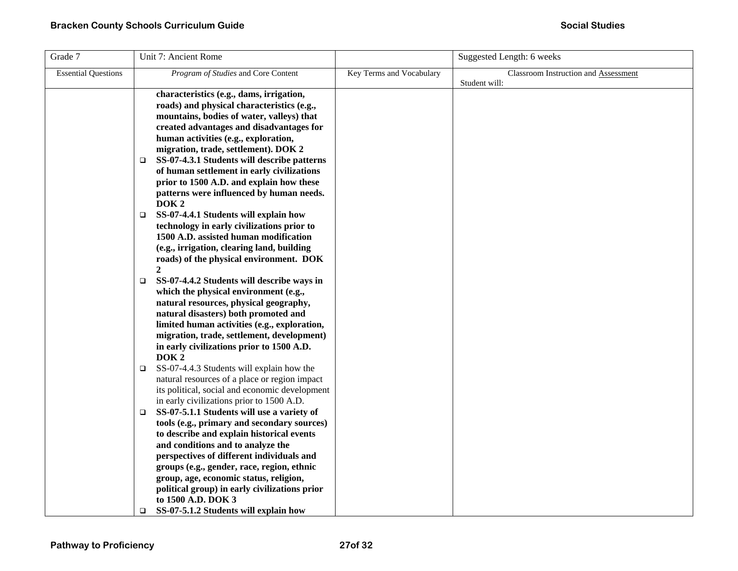| Grade 7                    | Unit 7: Ancient Rome                                                                                 |                          | Suggested Length: 6 weeks                   |
|----------------------------|------------------------------------------------------------------------------------------------------|--------------------------|---------------------------------------------|
| <b>Essential Questions</b> | Program of Studies and Core Content                                                                  | Key Terms and Vocabulary | <b>Classroom Instruction and Assessment</b> |
|                            |                                                                                                      |                          | Student will:                               |
|                            | characteristics (e.g., dams, irrigation,                                                             |                          |                                             |
|                            | roads) and physical characteristics (e.g.,                                                           |                          |                                             |
|                            | mountains, bodies of water, valleys) that                                                            |                          |                                             |
|                            | created advantages and disadvantages for                                                             |                          |                                             |
|                            | human activities (e.g., exploration,                                                                 |                          |                                             |
|                            | migration, trade, settlement). DOK 2                                                                 |                          |                                             |
|                            | SS-07-4.3.1 Students will describe patterns<br>□                                                     |                          |                                             |
|                            | of human settlement in early civilizations<br>prior to 1500 A.D. and explain how these               |                          |                                             |
|                            | patterns were influenced by human needs.                                                             |                          |                                             |
|                            | DOK <sub>2</sub>                                                                                     |                          |                                             |
|                            | SS-07-4.4.1 Students will explain how<br>□                                                           |                          |                                             |
|                            | technology in early civilizations prior to                                                           |                          |                                             |
|                            | 1500 A.D. assisted human modification                                                                |                          |                                             |
|                            | (e.g., irrigation, clearing land, building                                                           |                          |                                             |
|                            | roads) of the physical environment. DOK                                                              |                          |                                             |
|                            | $\mathbf{2}$                                                                                         |                          |                                             |
|                            | SS-07-4.4.2 Students will describe ways in<br>$\Box$                                                 |                          |                                             |
|                            | which the physical environment (e.g.,                                                                |                          |                                             |
|                            | natural resources, physical geography,                                                               |                          |                                             |
|                            | natural disasters) both promoted and                                                                 |                          |                                             |
|                            | limited human activities (e.g., exploration,                                                         |                          |                                             |
|                            | migration, trade, settlement, development)                                                           |                          |                                             |
|                            | in early civilizations prior to 1500 A.D.                                                            |                          |                                             |
|                            | DOK <sub>2</sub>                                                                                     |                          |                                             |
|                            | SS-07-4.4.3 Students will explain how the<br>$\Box$<br>natural resources of a place or region impact |                          |                                             |
|                            | its political, social and economic development                                                       |                          |                                             |
|                            | in early civilizations prior to 1500 A.D.                                                            |                          |                                             |
|                            | SS-07-5.1.1 Students will use a variety of<br>$\Box$                                                 |                          |                                             |
|                            | tools (e.g., primary and secondary sources)                                                          |                          |                                             |
|                            | to describe and explain historical events                                                            |                          |                                             |
|                            | and conditions and to analyze the                                                                    |                          |                                             |
|                            | perspectives of different individuals and                                                            |                          |                                             |
|                            | groups (e.g., gender, race, region, ethnic                                                           |                          |                                             |
|                            | group, age, economic status, religion,                                                               |                          |                                             |
|                            | political group) in early civilizations prior                                                        |                          |                                             |
|                            | to 1500 A.D. DOK 3                                                                                   |                          |                                             |
|                            | SS-07-5.1.2 Students will explain how<br>$\Box$                                                      |                          |                                             |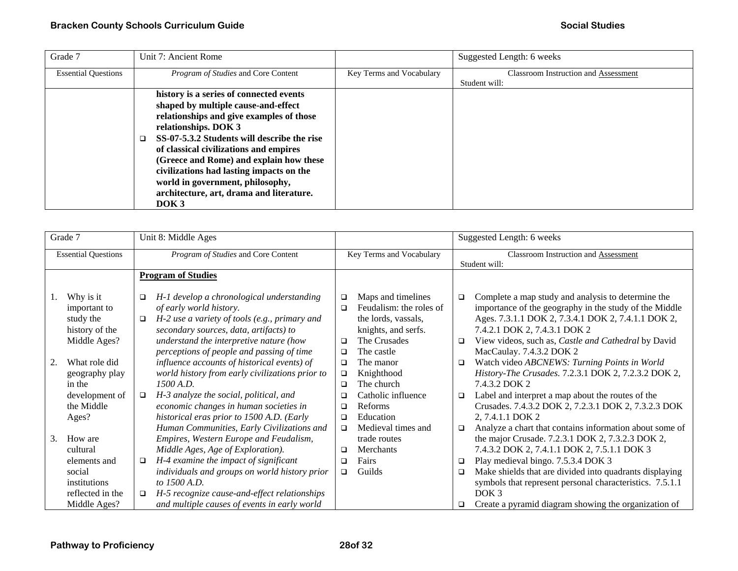| Grade 7                    | Unit 7: Ancient Rome                        |                          | Suggested Length: 6 weeks                   |
|----------------------------|---------------------------------------------|--------------------------|---------------------------------------------|
| <b>Essential Questions</b> | <i>Program of Studies</i> and Core Content  | Key Terms and Vocabulary | <b>Classroom Instruction and Assessment</b> |
|                            |                                             |                          | Student will:                               |
|                            | history is a series of connected events     |                          |                                             |
|                            | shaped by multiple cause-and-effect         |                          |                                             |
|                            | relationships and give examples of those    |                          |                                             |
|                            | relationships. DOK 3                        |                          |                                             |
|                            | SS-07-5.3.2 Students will describe the rise |                          |                                             |
|                            | of classical civilizations and empires      |                          |                                             |
|                            | (Greece and Rome) and explain how these     |                          |                                             |
|                            | civilizations had lasting impacts on the    |                          |                                             |
|                            | world in government, philosophy,            |                          |                                             |
|                            | architecture, art, drama and literature.    |                          |                                             |
|                            | DOK <sub>3</sub>                            |                          |                                             |

|    | Grade 7                                                                           |                                     | Unit 8: Middle Ages                                                                                                                                                                                                                     |                                      |                                                                                                             |             | Suggested Length: 6 weeks                                                                                                                                                                                                                                                        |
|----|-----------------------------------------------------------------------------------|-------------------------------------|-----------------------------------------------------------------------------------------------------------------------------------------------------------------------------------------------------------------------------------------|--------------------------------------|-------------------------------------------------------------------------------------------------------------|-------------|----------------------------------------------------------------------------------------------------------------------------------------------------------------------------------------------------------------------------------------------------------------------------------|
|    | <b>Essential Questions</b>                                                        | Program of Studies and Core Content |                                                                                                                                                                                                                                         | Key Terms and Vocabulary             |                                                                                                             |             | Classroom Instruction and Assessment<br>Student will:                                                                                                                                                                                                                            |
|    |                                                                                   |                                     | <b>Program of Studies</b>                                                                                                                                                                                                               |                                      |                                                                                                             |             |                                                                                                                                                                                                                                                                                  |
| I. | Why is it<br>important to<br>study the<br>history of the<br>Middle Ages?          | ❏<br>❏                              | H-1 develop a chronological understanding<br>of early world history.<br>H-2 use a variety of tools (e.g., primary and<br>secondary sources, data, artifacts) to<br>understand the interpretive nature (how                              | $\Box$<br>□<br>$\Box$                | Maps and timelines<br>Feudalism: the roles of<br>the lords, vassals,<br>knights, and serfs.<br>The Crusades | □<br>❏      | Complete a map study and analysis to determine the<br>importance of the geography in the study of the Middle<br>Ages. 7.3.1.1 DOK 2, 7.3.4.1 DOK 2, 7.4.1.1 DOK 2,<br>7.4.2.1 DOK 2, 7.4.3.1 DOK 2<br>View videos, such as, Castle and Cathedral by David                        |
| 2. | What role did<br>geography play<br>in the                                         |                                     | perceptions of people and passing of time<br>influence accounts of historical events) of<br>world history from early civilizations prior to<br>1500 A.D.                                                                                | $\Box$<br>$\Box$<br>$\Box$<br>$\Box$ | The castle<br>The manor<br>Knighthood<br>The church                                                         | $\Box$      | MacCaulay. 7.4.3.2 DOK 2<br>Watch video ABCNEWS: Turning Points in World<br>History-The Crusades. 7.2.3.1 DOK 2, 7.2.3.2 DOK 2,<br>7.4.3.2 DOK 2                                                                                                                                 |
|    | development of<br>the Middle<br>Ages?                                             | $\Box$                              | H-3 analyze the social, political, and<br>economic changes in human societies in<br>historical eras prior to 1500 A.D. (Early<br>Human Communities, Early Civilizations and                                                             | □<br>$\Box$<br>$\Box$<br>$\Box$      | Catholic influence<br>Reforms<br>Education<br>Medieval times and                                            | $\Box$<br>□ | Label and interpret a map about the routes of the<br>Crusades. 7.4.3.2 DOK 2, 7.2.3.1 DOK 2, 7.3.2.3 DOK<br>2, 7.4.1.1 DOK 2<br>Analyze a chart that contains information about some of                                                                                          |
| 3. | How are<br>cultural<br>elements and<br>social<br>institutions<br>reflected in the | $\Box$<br>□                         | Empires, Western Europe and Feudalism,<br>Middle Ages, Age of Exploration).<br>H-4 examine the impact of significant<br>individuals and groups on world history prior<br>to $1500$ A.D.<br>H-5 recognize cause-and-effect relationships | ❏<br>❏<br>$\Box$                     | trade routes<br><b>Merchants</b><br>Fairs<br>Guilds                                                         | $\Box$<br>□ | the major Crusade. 7.2.3.1 DOK 2, 7.3.2.3 DOK 2,<br>7.4.3.2 DOK 2, 7.4.1.1 DOK 2, 7.5.1.1 DOK 3<br>Play medieval bingo. 7.5.3.4 DOK 3<br>Make shields that are divided into quadrants displaying<br>symbols that represent personal characteristics. 7.5.1.1<br>DOK <sub>3</sub> |
|    | Middle Ages?                                                                      |                                     | and multiple causes of events in early world                                                                                                                                                                                            |                                      |                                                                                                             | □           | Create a pyramid diagram showing the organization of                                                                                                                                                                                                                             |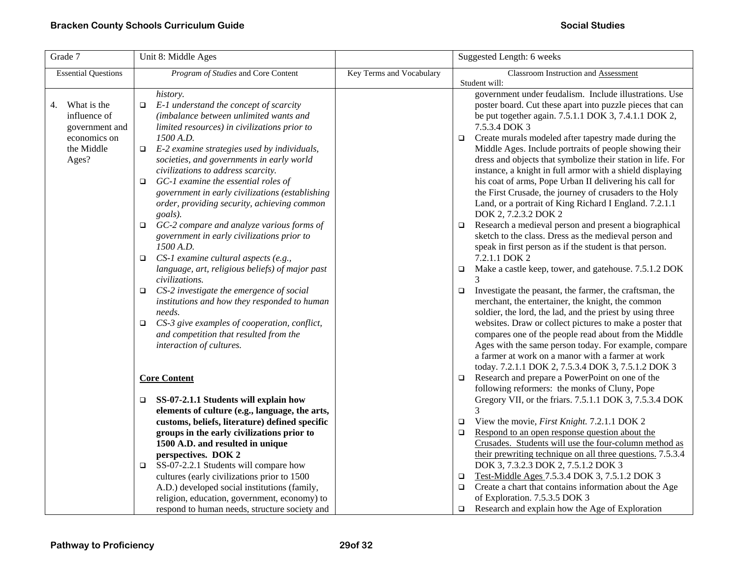| Grade 7                    | Unit 8: Middle Ages                                                             |                          | Suggested Length: 6 weeks                                                                                                |
|----------------------------|---------------------------------------------------------------------------------|--------------------------|--------------------------------------------------------------------------------------------------------------------------|
| <b>Essential Questions</b> | Program of Studies and Core Content                                             | Key Terms and Vocabulary | Classroom Instruction and Assessment                                                                                     |
|                            |                                                                                 |                          | Student will:                                                                                                            |
|                            | history.                                                                        |                          | government under feudalism. Include illustrations. Use                                                                   |
| What is the<br>4.          | E-1 understand the concept of scarcity<br>$\Box$                                |                          | poster board. Cut these apart into puzzle pieces that can                                                                |
| influence of               | (imbalance between unlimited wants and                                          |                          | be put together again. 7.5.1.1 DOK 3, 7.4.1.1 DOK 2,                                                                     |
| government and             | limited resources) in civilizations prior to                                    |                          | 7.5.3.4 DOK 3                                                                                                            |
| economics on               | 1500 A.D.                                                                       |                          | Create murals modeled after tapestry made during the<br>$\Box$                                                           |
| the Middle                 | E-2 examine strategies used by individuals,<br>$\Box$                           |                          | Middle Ages. Include portraits of people showing their                                                                   |
| Ages?                      | societies, and governments in early world<br>civilizations to address scarcity. |                          | dress and objects that symbolize their station in life. For<br>instance, a knight in full armor with a shield displaying |
|                            | GC-1 examine the essential roles of<br>$\Box$                                   |                          | his coat of arms, Pope Urban II delivering his call for                                                                  |
|                            | government in early civilizations (establishing                                 |                          | the First Crusade, the journey of crusaders to the Holy                                                                  |
|                            | order, providing security, achieving common                                     |                          | Land, or a portrait of King Richard I England. 7.2.1.1                                                                   |
|                            | goals).                                                                         |                          | DOK 2, 7.2.3.2 DOK 2                                                                                                     |
|                            | GC-2 compare and analyze various forms of<br>□                                  |                          | Research a medieval person and present a biographical<br>$\Box$                                                          |
|                            | government in early civilizations prior to                                      |                          | sketch to the class. Dress as the medieval person and                                                                    |
|                            | 1500 A.D.                                                                       |                          | speak in first person as if the student is that person.                                                                  |
|                            | CS-1 examine cultural aspects (e.g.,<br>$\Box$                                  |                          | 7.2.1.1 DOK 2                                                                                                            |
|                            | language, art, religious beliefs) of major past                                 |                          | Make a castle keep, tower, and gatehouse. 7.5.1.2 DOK<br>$\Box$                                                          |
|                            | civilizations.                                                                  |                          |                                                                                                                          |
|                            | CS-2 investigate the emergence of social<br>$\Box$                              |                          | Investigate the peasant, the farmer, the craftsman, the<br>$\Box$                                                        |
|                            | institutions and how they responded to human                                    |                          | merchant, the entertainer, the knight, the common                                                                        |
|                            | needs.                                                                          |                          | soldier, the lord, the lad, and the priest by using three                                                                |
|                            | CS-3 give examples of cooperation, conflict,<br>□                               |                          | websites. Draw or collect pictures to make a poster that                                                                 |
|                            | and competition that resulted from the                                          |                          | compares one of the people read about from the Middle                                                                    |
|                            | interaction of cultures.                                                        |                          | Ages with the same person today. For example, compare                                                                    |
|                            |                                                                                 |                          | a farmer at work on a manor with a farmer at work                                                                        |
|                            |                                                                                 |                          | today. 7.2.1.1 DOK 2, 7.5.3.4 DOK 3, 7.5.1.2 DOK 3                                                                       |
|                            | <b>Core Content</b>                                                             |                          | Research and prepare a PowerPoint on one of the<br>$\Box$<br>following reformers: the monks of Cluny, Pope               |
|                            | SS-07-2.1.1 Students will explain how<br>□                                      |                          | Gregory VII, or the friars. 7.5.1.1 DOK 3, 7.5.3.4 DOK                                                                   |
|                            | elements of culture (e.g., language, the arts,                                  |                          | 3                                                                                                                        |
|                            | customs, beliefs, literature) defined specific                                  |                          | View the movie, First Knight. 7.2.1.1 DOK 2<br>$\Box$                                                                    |
|                            | groups in the early civilizations prior to                                      |                          | Respond to an open response question about the<br>$\Box$                                                                 |
|                            | 1500 A.D. and resulted in unique                                                |                          | Crusades. Students will use the four-column method as                                                                    |
|                            | perspectives. DOK 2                                                             |                          | their prewriting technique on all three questions. 7.5.3.4                                                               |
|                            | SS-07-2.2.1 Students will compare how<br>□                                      |                          | DOK 3, 7.3.2.3 DOK 2, 7.5.1.2 DOK 3                                                                                      |
|                            | cultures (early civilizations prior to 1500                                     |                          | Test-Middle Ages 7.5.3.4 DOK 3, 7.5.1.2 DOK 3<br>$\Box$                                                                  |
|                            | A.D.) developed social institutions (family,                                    |                          | Create a chart that contains information about the Age<br>$\Box$                                                         |
|                            | religion, education, government, economy) to                                    |                          | of Exploration. 7.5.3.5 DOK 3                                                                                            |
|                            | respond to human needs, structure society and                                   |                          | Research and explain how the Age of Exploration<br>$\Box$                                                                |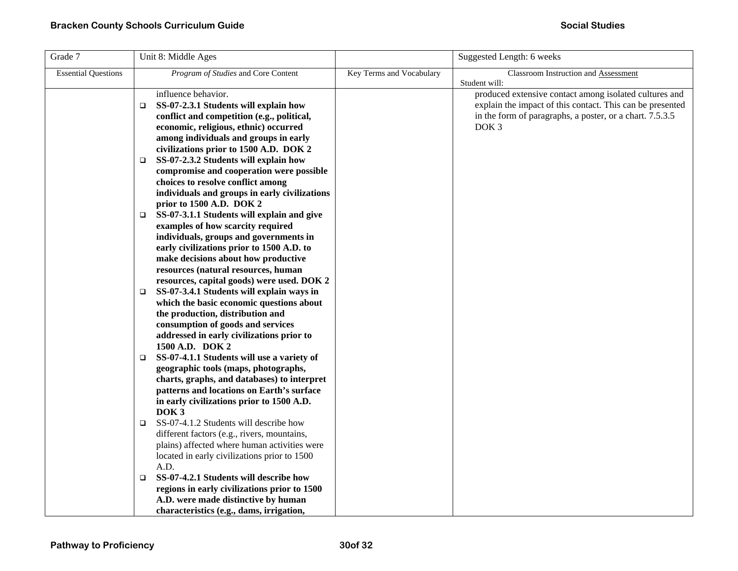| Grade 7                    | Unit 8: Middle Ages                                                                 |                          | Suggested Length: 6 weeks                                                                                           |
|----------------------------|-------------------------------------------------------------------------------------|--------------------------|---------------------------------------------------------------------------------------------------------------------|
| <b>Essential Questions</b> | <i>Program of Studies</i> and Core Content                                          | Key Terms and Vocabulary | <b>Classroom Instruction and Assessment</b>                                                                         |
|                            |                                                                                     |                          | Student will:                                                                                                       |
|                            | influence behavior.                                                                 |                          | produced extensive contact among isolated cultures and<br>explain the impact of this contact. This can be presented |
|                            | SS-07-2.3.1 Students will explain how<br>$\Box$                                     |                          |                                                                                                                     |
|                            | conflict and competition (e.g., political,<br>economic, religious, ethnic) occurred |                          | in the form of paragraphs, a poster, or a chart. 7.5.3.5<br>DOK <sub>3</sub>                                        |
|                            | among individuals and groups in early                                               |                          |                                                                                                                     |
|                            | civilizations prior to 1500 A.D. DOK 2                                              |                          |                                                                                                                     |
|                            | SS-07-2.3.2 Students will explain how<br>□                                          |                          |                                                                                                                     |
|                            | compromise and cooperation were possible                                            |                          |                                                                                                                     |
|                            | choices to resolve conflict among                                                   |                          |                                                                                                                     |
|                            | individuals and groups in early civilizations                                       |                          |                                                                                                                     |
|                            | prior to 1500 A.D. DOK 2                                                            |                          |                                                                                                                     |
|                            | SS-07-3.1.1 Students will explain and give<br>□                                     |                          |                                                                                                                     |
|                            | examples of how scarcity required                                                   |                          |                                                                                                                     |
|                            | individuals, groups and governments in                                              |                          |                                                                                                                     |
|                            | early civilizations prior to 1500 A.D. to                                           |                          |                                                                                                                     |
|                            | make decisions about how productive                                                 |                          |                                                                                                                     |
|                            | resources (natural resources, human                                                 |                          |                                                                                                                     |
|                            | resources, capital goods) were used. DOK 2                                          |                          |                                                                                                                     |
|                            | SS-07-3.4.1 Students will explain ways in<br>$\Box$                                 |                          |                                                                                                                     |
|                            | which the basic economic questions about                                            |                          |                                                                                                                     |
|                            | the production, distribution and                                                    |                          |                                                                                                                     |
|                            | consumption of goods and services                                                   |                          |                                                                                                                     |
|                            | addressed in early civilizations prior to                                           |                          |                                                                                                                     |
|                            | 1500 A.D. DOK 2<br>SS-07-4.1.1 Students will use a variety of<br>$\Box$             |                          |                                                                                                                     |
|                            | geographic tools (maps, photographs,                                                |                          |                                                                                                                     |
|                            | charts, graphs, and databases) to interpret                                         |                          |                                                                                                                     |
|                            | patterns and locations on Earth's surface                                           |                          |                                                                                                                     |
|                            | in early civilizations prior to 1500 A.D.                                           |                          |                                                                                                                     |
|                            | DOK <sub>3</sub>                                                                    |                          |                                                                                                                     |
|                            | SS-07-4.1.2 Students will describe how<br>$\Box$                                    |                          |                                                                                                                     |
|                            | different factors (e.g., rivers, mountains,                                         |                          |                                                                                                                     |
|                            | plains) affected where human activities were                                        |                          |                                                                                                                     |
|                            | located in early civilizations prior to 1500                                        |                          |                                                                                                                     |
|                            | A.D.                                                                                |                          |                                                                                                                     |
|                            | SS-07-4.2.1 Students will describe how<br>$\Box$                                    |                          |                                                                                                                     |
|                            | regions in early civilizations prior to 1500                                        |                          |                                                                                                                     |
|                            | A.D. were made distinctive by human                                                 |                          |                                                                                                                     |
|                            | characteristics (e.g., dams, irrigation,                                            |                          |                                                                                                                     |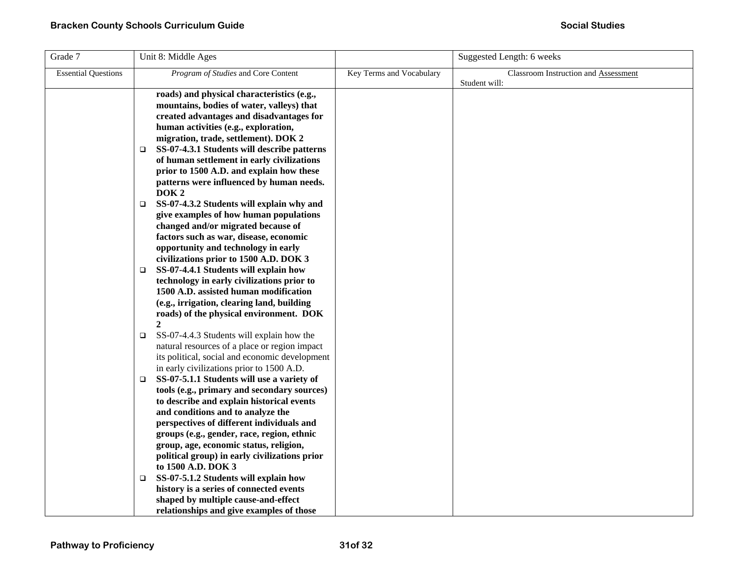| Grade 7                    | Unit 8: Middle Ages                                                                                                                                                                                                                                                                                                                                                                                                                                                                                                                                                                                                                                                                                                                                                                                                                                                                    |                          | Suggested Length: 6 weeks            |
|----------------------------|----------------------------------------------------------------------------------------------------------------------------------------------------------------------------------------------------------------------------------------------------------------------------------------------------------------------------------------------------------------------------------------------------------------------------------------------------------------------------------------------------------------------------------------------------------------------------------------------------------------------------------------------------------------------------------------------------------------------------------------------------------------------------------------------------------------------------------------------------------------------------------------|--------------------------|--------------------------------------|
| <b>Essential Questions</b> | Program of Studies and Core Content                                                                                                                                                                                                                                                                                                                                                                                                                                                                                                                                                                                                                                                                                                                                                                                                                                                    | Key Terms and Vocabulary | Classroom Instruction and Assessment |
|                            | roads) and physical characteristics (e.g.,<br>mountains, bodies of water, valleys) that<br>created advantages and disadvantages for<br>human activities (e.g., exploration,<br>migration, trade, settlement). DOK 2<br>SS-07-4.3.1 Students will describe patterns<br>□<br>of human settlement in early civilizations<br>prior to 1500 A.D. and explain how these<br>patterns were influenced by human needs.<br>DOK <sub>2</sub><br>SS-07-4.3.2 Students will explain why and<br>□<br>give examples of how human populations<br>changed and/or migrated because of<br>factors such as war, disease, economic<br>opportunity and technology in early<br>civilizations prior to 1500 A.D. DOK 3<br>SS-07-4.4.1 Students will explain how<br>$\Box$<br>technology in early civilizations prior to<br>1500 A.D. assisted human modification<br>(e.g., irrigation, clearing land, building |                          | Student will:                        |
|                            | roads) of the physical environment. DOK<br>$\overline{2}$<br>SS-07-4.4.3 Students will explain how the<br>□<br>natural resources of a place or region impact<br>its political, social and economic development<br>in early civilizations prior to 1500 A.D.<br>SS-07-5.1.1 Students will use a variety of<br>$\Box$                                                                                                                                                                                                                                                                                                                                                                                                                                                                                                                                                                    |                          |                                      |
|                            | tools (e.g., primary and secondary sources)<br>to describe and explain historical events<br>and conditions and to analyze the<br>perspectives of different individuals and<br>groups (e.g., gender, race, region, ethnic<br>group, age, economic status, religion,<br>political group) in early civilizations prior<br>to 1500 A.D. DOK 3<br>SS-07-5.1.2 Students will explain how<br>❏<br>history is a series of connected events<br>shaped by multiple cause-and-effect<br>relationships and give examples of those                                                                                                                                                                                                                                                                                                                                                                  |                          |                                      |